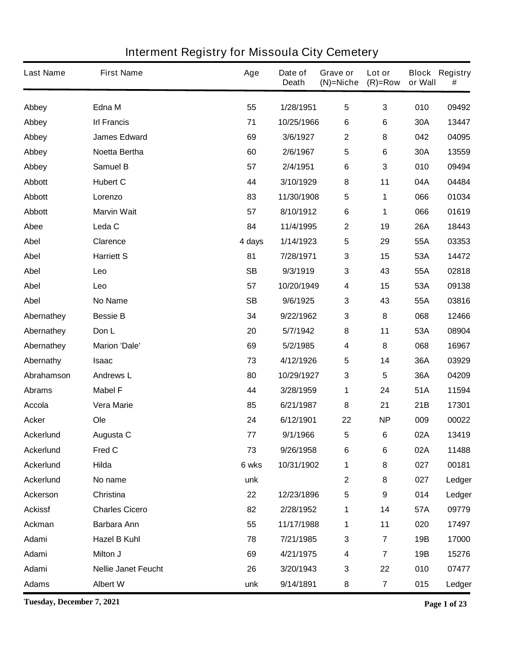| <b>Last Name</b> | <b>First Name</b>          | Age       | Date of<br><b>Death</b> | Grave or<br>$(N)$ =Niche | Lot or<br>$(R)=Row$     | or Wall    | <b>Block Registry</b><br># |
|------------------|----------------------------|-----------|-------------------------|--------------------------|-------------------------|------------|----------------------------|
| Abbey            | Edna M                     | 55        | 1/28/1951               | 5                        | 3                       | 010        | 09492                      |
| Abbey            | <b>Irl Francis</b>         | 71        | 10/25/1966              | 6                        | 6                       | 30A        | 13447                      |
| Abbey            | <b>James Edward</b>        | 69        | 3/6/1927                | $\mathbf 2$              | 8                       | 042        | 04095                      |
| Abbey            | Noetta Bertha              | 60        | 2/6/1967                | 5                        | 6                       | 30A        | 13559                      |
| Abbey            | <b>Samuel B</b>            | 57        | 2/4/1951                | 6                        | 3                       | 010        | 09494                      |
| <b>Abbott</b>    | <b>Hubert C</b>            | 44        | 3/10/1929               | 8                        | 11                      | 04A        | 04484                      |
| <b>Abbott</b>    | Lorenzo                    | 83        | 11/30/1908              | 5                        | 1                       | 066        | 01034                      |
| <b>Abbott</b>    | <b>Marvin Wait</b>         | 57        | 8/10/1912               | $\bf 6$                  | 1                       | 066        | 01619                      |
| Abee             | Leda C                     | 84        | 11/4/1995               | $\mathbf 2$              | 19                      | <b>26A</b> | 18443                      |
| <b>Abel</b>      | <b>Clarence</b>            | 4 days    | 1/14/1923               | 5                        | 29                      | 55A        | 03353                      |
| <b>Abel</b>      | <b>Harriett S</b>          | 81        | 7/28/1971               | 3                        | 15                      | 53A        | 14472                      |
| <b>Abel</b>      | Leo                        | <b>SB</b> | 9/3/1919                | 3                        | 43                      | 55A        | 02818                      |
| <b>Abel</b>      | Leo                        | 57        | 10/20/1949              | 4                        | 15                      | 53A        | 09138                      |
| <b>Abel</b>      | <b>No Name</b>             | <b>SB</b> | 9/6/1925                | 3                        | 43                      | 55A        | 03816                      |
| Abernathey       | <b>Bessie B</b>            | 34        | 9/22/1962               | 3                        | 8                       | 068        | 12466                      |
| Abernathey       | Don L                      | 20        | 5/7/1942                | 8                        | 11                      | 53A        | 08904                      |
| Abernathey       | <b>Marion 'Dale'</b>       | 69        | 5/2/1985                | 4                        | 8                       | 068        | 16967                      |
| Abernathy        | <b>Isaac</b>               | 73        | 4/12/1926               | 5                        | 14                      | 36A        | 03929                      |
| Abrahamson       | <b>Andrews L</b>           | 80        | 10/29/1927              | 3                        | 5                       | 36A        | 04209                      |
| <b>Abrams</b>    | <b>Mabel F</b>             | 44        | 3/28/1959               | 1                        | 24                      | 51A        | 11594                      |
| <b>Accola</b>    | <b>Vera Marie</b>          | 85        | 6/21/1987               | 8                        | 21                      | 21B        | 17301                      |
| <b>Acker</b>     | Ole                        | 24        | 6/12/1901               | 22                       | <b>NP</b>               | 009        | 00022                      |
| <b>Ackerlund</b> | Augusta C                  | 77        | 9/1/1966                | 5                        | 6                       | 02A        | 13419                      |
| <b>Ackerlund</b> | Fred C                     | 73        | 9/26/1958               | 6                        | 6                       | 02A        | 11488                      |
| <b>Ackerlund</b> | Hilda                      | 6 wks     | 10/31/1902              | 1                        | 8                       | 027        | 00181                      |
| <b>Ackerlund</b> | No name                    | unk       |                         | $\mathbf{2}$             | 8                       | 027        | Ledger                     |
| Ackerson         | Christina                  | 22        | 12/23/1896              | 5                        | 9                       | 014        | Ledger                     |
| <b>Ackissf</b>   | <b>Charles Cicero</b>      | 82        | 2/28/1952               | 1                        | 14                      | 57A        | 09779                      |
| <b>Ackman</b>    | Barbara Ann                | 55        | 11/17/1988              | 1                        | 11                      | 020        | 17497                      |
| Adami            | <b>Hazel B Kuhl</b>        | 78        | 7/21/1985               | 3                        | $\overline{\mathbf{r}}$ | 19B        | 17000                      |
| Adami            | Milton J                   | 69        | 4/21/1975               | 4                        | $\overline{\mathbf{r}}$ | 19B        | 15276                      |
| Adami            | <b>Nellie Janet Feucht</b> | 26        | 3/20/1943               | 3                        | 22                      | 010        | 07477                      |
| <b>Adams</b>     | <b>Albert W</b>            | unk       | 9/14/1891               | 8                        | 7                       | 015        | Ledger                     |

**Tuesday, December 7, 2021 Page 1 of 23**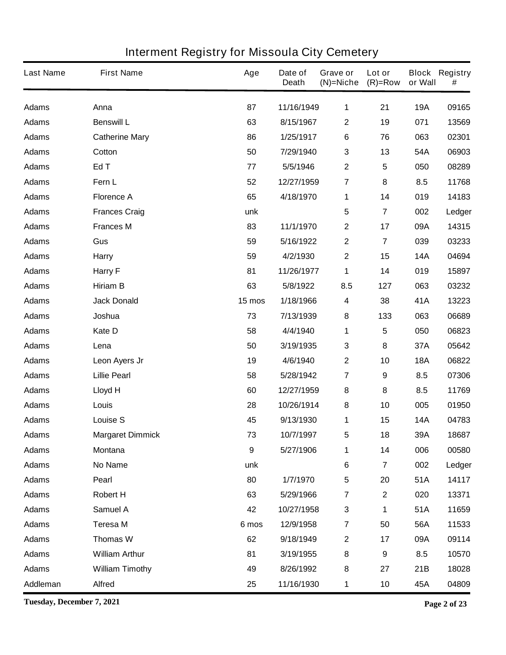| <b>Last Name</b> | <b>First Name</b>       | Age              | Date of<br><b>Death</b> | Grave or<br>$(N)$ =Niche | Lot or<br>$(R)=Row$     | or Wall    | <b>Block Registry</b><br># |
|------------------|-------------------------|------------------|-------------------------|--------------------------|-------------------------|------------|----------------------------|
| <b>Adams</b>     | Anna                    | 87               | 11/16/1949              | 1                        | 21                      | <b>19A</b> | 09165                      |
| <b>Adams</b>     | <b>Benswill L</b>       | 63               | 8/15/1967               | $\mathbf 2$              | 19                      | 071        | 13569                      |
| <b>Adams</b>     | <b>Catherine Mary</b>   | 86               | 1/25/1917               | 6                        | 76                      | 063        | 02301                      |
| <b>Adams</b>     | Cotton                  | 50               | 7/29/1940               | 3                        | 13                      | 54A        | 06903                      |
| <b>Adams</b>     | Ed T                    | 77               | 5/5/1946                | $\boldsymbol{2}$         | $5\phantom{.0}$         | 050        | 08289                      |
| <b>Adams</b>     | Fern L                  | 52               | 12/27/1959              | $\overline{\mathbf{7}}$  | 8                       | 8.5        | 11768                      |
| <b>Adams</b>     | <b>Florence A</b>       | 65               | 4/18/1970               | 1                        | 14                      | 019        | 14183                      |
| <b>Adams</b>     | <b>Frances Craig</b>    | unk              |                         | 5                        | $\overline{\mathbf{7}}$ | 002        | Ledger                     |
| <b>Adams</b>     | <b>Frances M</b>        | 83               | 11/1/1970               | $\mathbf 2$              | 17                      | 09A        | 14315                      |
| <b>Adams</b>     | Gus                     | 59               | 5/16/1922               | $\mathbf 2$              | $\overline{\mathbf{7}}$ | 039        | 03233                      |
| <b>Adams</b>     | <b>Harry</b>            | 59               | 4/2/1930                | $\mathbf{2}$             | 15                      | <b>14A</b> | 04694                      |
| <b>Adams</b>     | <b>Harry F</b>          | 81               | 11/26/1977              | 1                        | 14                      | 019        | 15897                      |
| <b>Adams</b>     | <b>Hiriam B</b>         | 63               | 5/8/1922                | 8.5                      | 127                     | 063        | 03232                      |
| <b>Adams</b>     | <b>Jack Donald</b>      | 15 mos           | 1/18/1966               | $\overline{\mathbf{4}}$  | 38                      | 41A        | 13223                      |
| <b>Adams</b>     | Joshua                  | 73               | 7/13/1939               | 8                        | 133                     | 063        | 06689                      |
| <b>Adams</b>     | Kate D                  | 58               | 4/4/1940                | 1                        | 5                       | 050        | 06823                      |
| <b>Adams</b>     | Lena                    | 50               | 3/19/1935               | 3                        | 8                       | 37A        | 05642                      |
| <b>Adams</b>     | Leon Ayers Jr           | 19               | 4/6/1940                | $\boldsymbol{2}$         | 10                      | <b>18A</b> | 06822                      |
| <b>Adams</b>     | <b>Lillie Pearl</b>     | 58               | 5/28/1942               | $\overline{\mathbf{7}}$  | 9                       | 8.5        | 07306                      |
| <b>Adams</b>     | <b>Lloyd H</b>          | 60               | 12/27/1959              | 8                        | 8                       | 8.5        | 11769                      |
| <b>Adams</b>     | Louis                   | 28               | 10/26/1914              | 8                        | 10                      | 005        | 01950                      |
| <b>Adams</b>     | <b>Louise S</b>         | 45               | 9/13/1930               | 1                        | 15                      | <b>14A</b> | 04783                      |
| <b>Adams</b>     | <b>Margaret Dimmick</b> | 73               | 10/7/1997               | 5                        | 18                      | 39A        | 18687                      |
| <b>Adams</b>     | Montana                 | $\boldsymbol{9}$ | 5/27/1906               | 1                        | 14                      | 006        | 00580                      |
| <b>Adams</b>     | No Name                 | unk              |                         | $\bf 6$                  | $\overline{7}$          | 002        | Ledger                     |
| <b>Adams</b>     | Pearl                   | 80               | 1/7/1970                | $\overline{\mathbf{5}}$  | 20                      | 51A        | 14117                      |
| <b>Adams</b>     | <b>Robert H</b>         | 63               | 5/29/1966               | $\overline{\mathbf{7}}$  | $\mathbf{2}$            | 020        | 13371                      |
| <b>Adams</b>     | <b>Samuel A</b>         | 42               | 10/27/1958              | $\mathbf{3}$             | 1                       | 51A        | 11659                      |
| <b>Adams</b>     | <b>Teresa M</b>         | 6 mos            | 12/9/1958               | $\overline{\mathbf{7}}$  | 50                      | 56A        | 11533                      |
| <b>Adams</b>     | <b>Thomas W</b>         | 62               | 9/18/1949               | $\mathbf 2$              | 17                      | 09A        | 09114                      |
| <b>Adams</b>     | <b>William Arthur</b>   | 81               | 3/19/1955               | 8                        | 9                       | 8.5        | 10570                      |
| <b>Adams</b>     | <b>William Timothy</b>  | 49               | 8/26/1992               | 8                        | 27                      | 21B        | 18028                      |
| Addleman         | <b>Alfred</b>           | 25               | 11/16/1930              | 1                        | 10                      | 45A        | 04809                      |

**Tuesday, December 7, 2021 Page 2 of 23**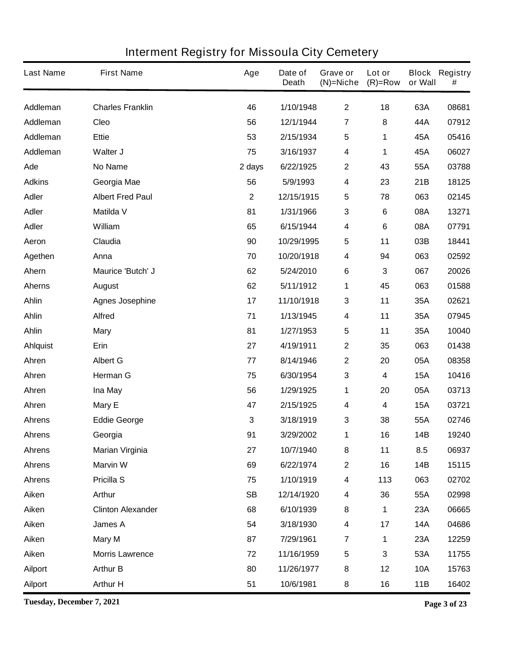| <b>Last Name</b> | <b>First Name</b>        | Age            | Date of<br><b>Death</b> | Grave or<br>$(N)$ =Niche | Lot or<br>$(R)=Row$ | or Wall    | <b>Block Registry</b><br># |
|------------------|--------------------------|----------------|-------------------------|--------------------------|---------------------|------------|----------------------------|
| Addleman         | <b>Charles Franklin</b>  | 46             | 1/10/1948               | $\mathbf{2}$             | 18                  | 63A        | 08681                      |
| Addleman         | Cleo                     | 56             | 12/1/1944               | 7                        | 8                   | 44A        | 07912                      |
| Addleman         | <b>Ettie</b>             | 53             | 2/15/1934               | 5                        | 1                   | 45A        | 05416                      |
| Addleman         | Walter J                 | 75             | 3/16/1937               | 4                        | 1                   | 45A        | 06027                      |
| Ade              | <b>No Name</b>           | 2 days         | 6/22/1925               | $\mathbf 2$              | 43                  | 55A        | 03788                      |
| <b>Adkins</b>    | Georgia Mae              | 56             | 5/9/1993                | 4                        | 23                  | 21B        | 18125                      |
| <b>Adler</b>     | <b>Albert Fred Paul</b>  | $\overline{2}$ | 12/15/1915              | 5                        | 78                  | 063        | 02145                      |
| <b>Adler</b>     | <b>Matilda V</b>         | 81             | 1/31/1966               | 3                        | 6                   | 08A        | 13271                      |
| <b>Adler</b>     | William                  | 65             | 6/15/1944               | 4                        | 6                   | 08A        | 07791                      |
| Aeron            | Claudia                  | 90             | 10/29/1995              | 5                        | 11                  | 03B        | 18441                      |
| Agethen          | Anna                     | 70             | 10/20/1918              | 4                        | 94                  | 063        | 02592                      |
| Ahern            | Maurice 'Butch' J        | 62             | 5/24/2010               | 6                        | 3                   | 067        | 20026                      |
| <b>Aherns</b>    | <b>August</b>            | 62             | 5/11/1912               | 1                        | 45                  | 063        | 01588                      |
| Ahlin            | <b>Agnes Josephine</b>   | 17             | 11/10/1918              | 3                        | 11                  | 35A        | 02621                      |
| Ahlin            | <b>Alfred</b>            | 71             | 1/13/1945               | 4                        | 11                  | 35A        | 07945                      |
| Ahlin            | <b>Mary</b>              | 81             | 1/27/1953               | 5                        | 11                  | 35A        | 10040                      |
| <b>Ahlquist</b>  | Erin                     | 27             | 4/19/1911               | $\mathbf 2$              | 35                  | 063        | 01438                      |
| Ahren            | <b>Albert G</b>          | 77             | 8/14/1946               | 2                        | 20                  | 05A        | 08358                      |
| Ahren            | <b>Herman G</b>          | 75             | 6/30/1954               | 3                        | 4                   | <b>15A</b> | 10416                      |
| Ahren            | Ina May                  | 56             | 1/29/1925               | 1                        | 20                  | 05A        | 03713                      |
| Ahren            | Mary E                   | 47             | 2/15/1925               | 4                        | 4                   | <b>15A</b> | 03721                      |
| <b>Ahrens</b>    | <b>Eddie George</b>      | 3              | 3/18/1919               | 3                        | 38                  | 55A        | 02746                      |
| <b>Anrens</b>    | Georgia                  | 91             | 3/29/2002               | 1                        | 16                  | 14B        | 19240                      |
| <b>Ahrens</b>    | <b>Marian Virginia</b>   | 27             | 10/7/1940               | 8                        | 11                  | 8.5        | 06937                      |
| <b>Ahrens</b>    | <b>Marvin W</b>          | 69             | 6/22/1974               | $\mathbf 2$              | 16                  | 14B        | 15115                      |
| <b>Ahrens</b>    | <b>Pricilla S</b>        | 75             | 1/10/1919               | 4                        | 113                 | 063        | 02702                      |
| Aiken            | <b>Arthur</b>            | <b>SB</b>      | 12/14/1920              | 4                        | 36                  | 55A        | 02998                      |
| Aiken            | <b>Clinton Alexander</b> | 68             | 6/10/1939               | 8                        | 1                   | 23A        | 06665                      |
| Aiken            | James A                  | 54             | 3/18/1930               | 4                        | 17                  | <b>14A</b> | 04686                      |
| Aiken            | <b>Mary M</b>            | 87             | 7/29/1961               | $\overline{7}$           | 1                   | 23A        | 12259                      |
| Aiken            | <b>Morris Lawrence</b>   | 72             | 11/16/1959              | ${\bf 5}$                | 3                   | 53A        | 11755                      |
| <b>Ailport</b>   | <b>Arthur B</b>          | 80             | 11/26/1977              | 8                        | 12                  | <b>10A</b> | 15763                      |
| <b>Ailport</b>   | <b>Arthur H</b>          | 51             | 10/6/1981               | 8                        | 16                  | 11B        | 16402                      |

**Tuesday, December 7, 2021 Page 3 of 23**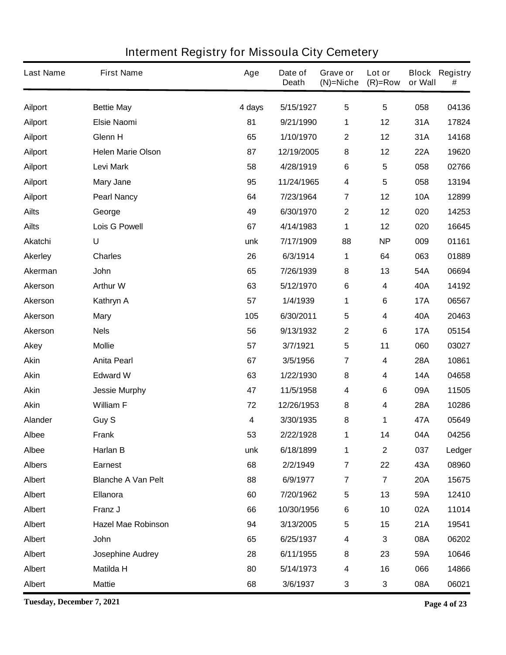| <b>Last Name</b> | <b>First Name</b>         | Age    | Date of<br><b>Death</b> | Grave or<br>$(N)$ =Niche | Lot or<br>$(R)=Row$     | or Wall    | <b>Block Registry</b><br># |
|------------------|---------------------------|--------|-------------------------|--------------------------|-------------------------|------------|----------------------------|
| <b>Ailport</b>   | <b>Bettie May</b>         | 4 days | 5/15/1927               | 5                        | $5\phantom{.0}$         | 058        | 04136                      |
| <b>Ailport</b>   | <b>Elsie Naomi</b>        | 81     | 9/21/1990               | 1                        | 12                      | 31A        | 17824                      |
| <b>Ailport</b>   | Glenn H                   | 65     | 1/10/1970               | $\mathbf 2$              | 12                      | 31A        | 14168                      |
| <b>Ailport</b>   | <b>Helen Marie Olson</b>  | 87     | 12/19/2005              | 8                        | 12                      | <b>22A</b> | 19620                      |
| <b>Ailport</b>   | <b>Levi Mark</b>          | 58     | 4/28/1919               | 6                        | 5                       | 058        | 02766                      |
| <b>Ailport</b>   | <b>Mary Jane</b>          | 95     | 11/24/1965              | 4                        | 5                       | 058        | 13194                      |
| <b>Ailport</b>   | <b>Pearl Nancy</b>        | 64     | 7/23/1964               | $\overline{7}$           | 12                      | <b>10A</b> | 12899                      |
| <b>Ailts</b>     | George                    | 49     | 6/30/1970               | $\mathbf 2$              | 12                      | 020        | 14253                      |
| <b>Ailts</b>     | <b>Lois G Powell</b>      | 67     | 4/14/1983               | 1                        | 12                      | 020        | 16645                      |
| <b>Akatchi</b>   | U                         | unk    | 7/17/1909               | 88                       | <b>NP</b>               | 009        | 01161                      |
| <b>Akerley</b>   | <b>Charles</b>            | 26     | 6/3/1914                | 1                        | 64                      | 063        | 01889                      |
| Akerman          | <b>John</b>               | 65     | 7/26/1939               | 8                        | 13                      | 54A        | 06694                      |
| <b>Akerson</b>   | <b>Arthur W</b>           | 63     | 5/12/1970               | 6                        | 4                       | 40A        | 14192                      |
| <b>Akerson</b>   | Kathryn A                 | 57     | 1/4/1939                | 1                        | 6                       | <b>17A</b> | 06567                      |
| <b>Akerson</b>   | <b>Mary</b>               | 105    | 6/30/2011               | 5                        | 4                       | 40A        | 20463                      |
| Akerson          | <b>Nels</b>               | 56     | 9/13/1932               | $\mathbf 2$              | 6                       | <b>17A</b> | 05154                      |
| <b>Akey</b>      | <b>Mollie</b>             | 57     | 3/7/1921                | 5                        | 11                      | 060        | 03027                      |
| <b>Akin</b>      | <b>Anita Pearl</b>        | 67     | 3/5/1956                | 7                        | 4                       | <b>28A</b> | 10861                      |
| <b>Akin</b>      | <b>Edward W</b>           | 63     | 1/22/1930               | 8                        | 4                       | <b>14A</b> | 04658                      |
| Akin             | <b>Jessie Murphy</b>      | 47     | 11/5/1958               | 4                        | 6                       | 09A        | 11505                      |
| <b>Akin</b>      | <b>William F</b>          | 72     | 12/26/1953              | 8                        | 4                       | <b>28A</b> | 10286                      |
| Alander          | Guy S                     | 4      | 3/30/1935               | 8                        | 1                       | 47A        | 05649                      |
| Albee            | <b>Frank</b>              | 53     | 2/22/1928               | 1                        | 14                      | 04A        | 04256                      |
| <b>Albee</b>     | Harlan B                  | unk    | 6/18/1899               | 1                        | $\mathbf 2$             | 037        | Ledger                     |
| <b>Albers</b>    | <b>Earnest</b>            | 68     | 2/2/1949                | $\overline{7}$           | 22                      | 43A        | 08960                      |
| Albert           | <b>Blanche A Van Pelt</b> | 88     | 6/9/1977                | $\overline{7}$           | $\overline{\mathbf{7}}$ | <b>20A</b> | 15675                      |
| Albert           | Ellanora                  | 60     | 7/20/1962               | 5                        | 13                      | 59A        | 12410                      |
| Albert           | Franz J                   | 66     | 10/30/1956              | 6                        | 10                      | 02A        | 11014                      |
| Albert           | <b>Hazel Mae Robinson</b> | 94     | 3/13/2005               | 5                        | 15                      | 21A        | 19541                      |
| Albert           | <b>John</b>               | 65     | 6/25/1937               | 4                        | 3                       | 08A        | 06202                      |
| Albert           | Josephine Audrey          | 28     | 6/11/1955               | 8                        | 23                      | 59A        | 10646                      |
| Albert           | <b>Matilda H</b>          | 80     | 5/14/1973               | 4                        | 16                      | 066        | 14866                      |
| Albert           | <b>Mattie</b>             | 68     | 3/6/1937                | 3                        | $\mathbf 3$             | 08A        | 06021                      |

**Tuesday, December 7, 2021 Page 4 of 23**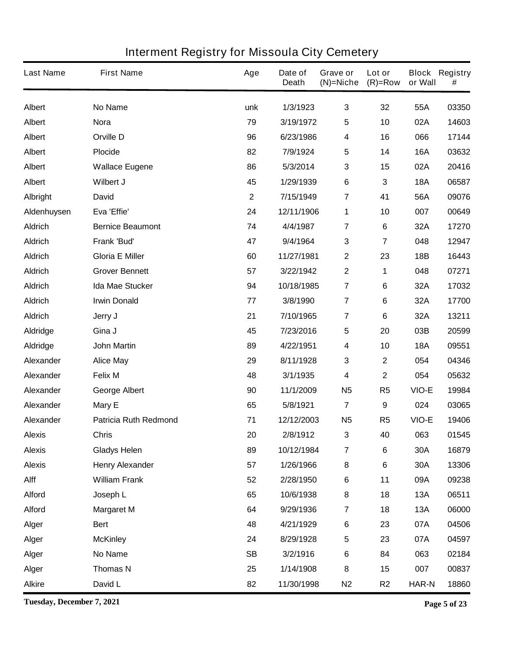| <b>Last Name</b> | <b>First Name</b>            | Age          | Date of<br><b>Death</b> | Grave or<br>$(N)$ =Niche | Lot or<br>$(R)=Row$ | or Wall      | <b>Block Registry</b><br># |
|------------------|------------------------------|--------------|-------------------------|--------------------------|---------------------|--------------|----------------------------|
| Albert           | <b>No Name</b>               | unk          | 1/3/1923                | $\mathbf{3}$             | 32                  | 55A          | 03350                      |
| Albert           | <b>Nora</b>                  | 79           | 3/19/1972               | 5                        | 10                  | 02A          | 14603                      |
| Albert           | <b>Orville D</b>             | 96           | 6/23/1986               | 4                        | 16                  | 066          | 17144                      |
| Albert           | <b>Plocide</b>               | 82           | 7/9/1924                | 5                        | 14                  | <b>16A</b>   | 03632                      |
| Albert           | <b>Wallace Eugene</b>        | 86           | 5/3/2014                | 3                        | 15                  | 02A          | 20416                      |
| <b>Albert</b>    | Wilbert J                    | 45           | 1/29/1939               | $\bf 6$                  | 3                   | <b>18A</b>   | 06587                      |
| <b>Albright</b>  | <b>David</b>                 | $\mathbf{2}$ | 7/15/1949               | 7                        | 41                  | 56A          | 09076                      |
| Aldenhuysen      | Eva 'Effie'                  | 24           | 12/11/1906              | 1                        | 10                  | 007          | 00649                      |
| <b>Aldrich</b>   | <b>Bernice Beaumont</b>      | 74           | 4/4/1987                | 7                        | 6                   | 32A          | 17270                      |
| <b>Aldrich</b>   | Frank 'Bud'                  | 47           | 9/4/1964                | 3                        | 7                   | 048          | 12947                      |
| <b>Aldrich</b>   | <b>Gloria E Miller</b>       | 60           | 11/27/1981              | $\mathbf 2$              | 23                  | 18B          | 16443                      |
| <b>Aldrich</b>   | <b>Grover Bennett</b>        | 57           | 3/22/1942               | $\mathbf 2$              | 1                   | 048          | 07271                      |
| <b>Aldrich</b>   | <b>Ida Mae Stucker</b>       | 94           | 10/18/1985              | $\overline{7}$           | 6                   | 32A          | 17032                      |
| <b>Aldrich</b>   | <b>Irwin Donald</b>          | 77           | 3/8/1990                | $\overline{7}$           | 6                   | 32A          | 17700                      |
| <b>Aldrich</b>   | Jerry J                      | 21           | 7/10/1965               | $\overline{7}$           | 6                   | 32A          | 13211                      |
| <b>Aldridge</b>  | Gina J                       | 45           | 7/23/2016               | 5                        | 20                  | 03B          | 20599                      |
| <b>Aldridge</b>  | <b>John Martin</b>           | 89           | 4/22/1951               | 4                        | 10                  | <b>18A</b>   | 09551                      |
| Alexander        | <b>Alice May</b>             | 29           | 8/11/1928               | 3                        | $\mathbf 2$         | 054          | 04346                      |
| Alexander        | <b>Felix M</b>               | 48           | 3/1/1935                | 4                        | $\mathbf 2$         | 054          | 05632                      |
| Alexander        | <b>George Albert</b>         | 90           | 11/1/2009               | N <sub>5</sub>           | R <sub>5</sub>      | VIO-E        | 19984                      |
| <b>Alexander</b> | Mary E                       | 65           | 5/8/1921                | $\overline{7}$           | 9                   | 024          | 03065                      |
| Alexander        | <b>Patricia Ruth Redmond</b> | 71           | 12/12/2003              | <b>N5</b>                | R <sub>5</sub>      | VIO-E        | 19406                      |
| <b>Alexis</b>    | <b>Chris</b>                 | 20           | 2/8/1912                | 3                        | 40                  | 063          | 01545                      |
| <b>Alexis</b>    | <b>Gladys Helen</b>          | 89           | 10/12/1984              | $\overline{\mathbf{7}}$  | $\bf 6$             | <b>30A</b>   | 16879                      |
| <b>Alexis</b>    | <b>Henry Alexander</b>       | 57           | 1/26/1966               | 8                        | 6                   | 30A          | 13306                      |
| Alff             | <b>William Frank</b>         | 52           | 2/28/1950               | $\bf 6$                  | 11                  | 09A          | 09238                      |
| <b>Alford</b>    | Joseph L                     | 65           | 10/6/1938               | 8                        | 18                  | 13A          | 06511                      |
| <b>Alford</b>    | <b>Margaret M</b>            | 64           | 9/29/1936               | $\overline{\mathbf{7}}$  | 18                  | <b>13A</b>   | 06000                      |
| Alger            | <b>Bert</b>                  | 48           | 4/21/1929               | $\bf 6$                  | 23                  | 07A          | 04506                      |
| Alger            | <b>McKinley</b>              | 24           | 8/29/1928               | 5                        | 23                  | 07A          | 04597                      |
| Alger            | No Name                      | <b>SB</b>    | 3/2/1916                | $\bf 6$                  | 84                  | 063          | 02184                      |
| Alger            | <b>Thomas N</b>              | 25           | 1/14/1908               | 8                        | 15                  | 007          | 00837                      |
| <b>Alkire</b>    | David L                      | 82           | 11/30/1998              | N <sub>2</sub>           | R <sub>2</sub>      | <b>HAR-N</b> | 18860                      |

**Tuesday, December 7, 2021 Page 5 of 23**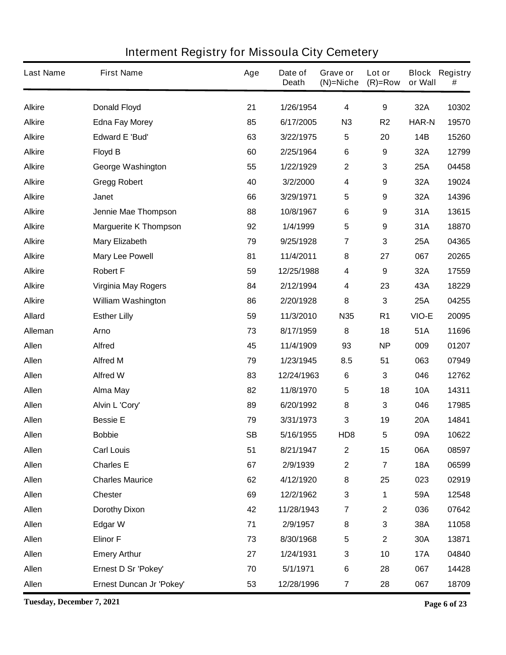| <b>Last Name</b> | <b>First Name</b>            | Age | Date of<br><b>Death</b> | Grave or<br>$(N)$ =Niche | Lot or<br>$(R)=Row$     | or Wall      | <b>Block Registry</b><br># |
|------------------|------------------------------|-----|-------------------------|--------------------------|-------------------------|--------------|----------------------------|
| <b>Alkire</b>    | <b>Donald Floyd</b>          | 21  | 1/26/1954               | $\overline{\mathbf{4}}$  | 9                       | 32A          | 10302                      |
| <b>Alkire</b>    | <b>Edna Fay Morey</b>        | 85  | 6/17/2005               | N3                       | R <sub>2</sub>          | <b>HAR-N</b> | 19570                      |
| <b>Alkire</b>    | <b>Edward E 'Bud'</b>        | 63  | 3/22/1975               | 5                        | 20                      | 14B          | 15260                      |
| <b>Alkire</b>    | <b>Floyd B</b>               | 60  | 2/25/1964               | $\bf 6$                  | 9                       | 32A          | 12799                      |
| <b>Alkire</b>    | <b>George Washington</b>     | 55  | 1/22/1929               | $\boldsymbol{2}$         | 3                       | 25A          | 04458                      |
| <b>Alkire</b>    | <b>Gregg Robert</b>          | 40  | 3/2/2000                | 4                        | 9                       | 32A          | 19024                      |
| <b>Alkire</b>    | Janet                        | 66  | 3/29/1971               | 5                        | 9                       | 32A          | 14396                      |
| <b>Alkire</b>    | Jennie Mae Thompson          | 88  | 10/8/1967               | $\bf 6$                  | 9                       | 31A          | 13615                      |
| <b>Alkire</b>    | <b>Marguerite K Thompson</b> | 92  | 1/4/1999                | 5                        | 9                       | 31A          | 18870                      |
| <b>Alkire</b>    | <b>Mary Elizabeth</b>        | 79  | 9/25/1928               | 7                        | 3                       | 25A          | 04365                      |
| <b>Alkire</b>    | <b>Mary Lee Powell</b>       | 81  | 11/4/2011               | 8                        | 27                      | 067          | 20265                      |
| <b>Alkire</b>    | <b>Robert F</b>              | 59  | 12/25/1988              | 4                        | 9                       | 32A          | 17559                      |
| <b>Alkire</b>    | <b>Virginia May Rogers</b>   | 84  | 2/12/1994               | 4                        | 23                      | 43A          | 18229                      |
| <b>Alkire</b>    | <b>William Washington</b>    | 86  | 2/20/1928               | 8                        | 3                       | 25A          | 04255                      |
| <b>Allard</b>    | <b>Esther Lilly</b>          | 59  | 11/3/2010               | <b>N35</b>               | R <sub>1</sub>          | VIO-E        | 20095                      |
| Alleman          | <b>Arno</b>                  | 73  | 8/17/1959               | 8                        | 18                      | 51A          | 11696                      |
| Allen            | <b>Alfred</b>                | 45  | 11/4/1909               | 93                       | <b>NP</b>               | 009          | 01207                      |
| Allen            | <b>Alfred M</b>              | 79  | 1/23/1945               | 8.5                      | 51                      | 063          | 07949                      |
| Allen            | <b>Alfred W</b>              | 83  | 12/24/1963              | 6                        | 3                       | 046          | 12762                      |
| Allen            | <b>Alma May</b>              | 82  | 11/8/1970               | 5                        | 18                      | <b>10A</b>   | 14311                      |
| Allen            | Alvin L 'Cory'               | 89  | 6/20/1992               | 8                        | 3                       | 046          | 17985                      |
| Allen            | <b>Bessie E</b>              | 79  | 3/31/1973               | 3                        | 19                      | <b>20A</b>   | 14841                      |
| <b>Allen</b>     | <b>Bobbie</b>                | SB  | 5/16/1955               | HD <sub>8</sub>          | 5                       | 09A          | 10622                      |
| Allen            | <b>Carl Louis</b>            | 51  | 8/21/1947               | $\mathbf 2$              | 15                      | 06A          | 08597                      |
| Allen            | <b>Charles E</b>             | 67  | 2/9/1939                | $\boldsymbol{2}$         | $\overline{\mathbf{7}}$ | <b>18A</b>   | 06599                      |
| Allen            | <b>Charles Maurice</b>       | 62  | 4/12/1920               | 8                        | 25                      | 023          | 02919                      |
| Allen            | <b>Chester</b>               | 69  | 12/2/1962               | $\mathbf 3$              | 1                       | 59A          | 12548                      |
| Allen            | <b>Dorothy Dixon</b>         | 42  | 11/28/1943              | $\overline{\mathbf{7}}$  | $\mathbf 2$             | 036          | 07642                      |
| Allen            | <b>Edgar W</b>               | 71  | 2/9/1957                | 8                        | 3                       | 38A          | 11058                      |
| Allen            | <b>Elinor F</b>              | 73  | 8/30/1968               | 5                        | $\boldsymbol{2}$        | 30A          | 13871                      |
| Allen            | <b>Emery Arthur</b>          | 27  | 1/24/1931               | $\mathbf 3$              | 10                      | <b>17A</b>   | 04840                      |
| Allen            | Ernest D Sr 'Pokey'          | 70  | 5/1/1971                | $\bf 6$                  | 28                      | 067          | 14428                      |
| Allen            | Ernest Duncan Jr 'Pokey'     | 53  | 12/28/1996              | $\overline{\mathbf{r}}$  | 28                      | 067          | 18709                      |

**Tuesday, December 7, 2021 Page 6 of 23**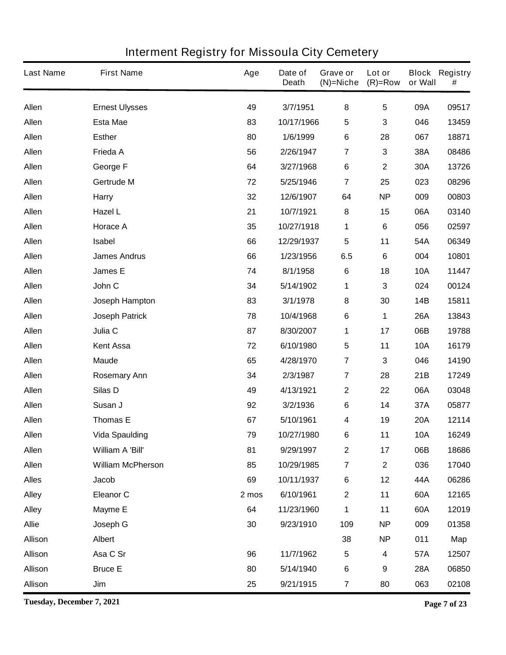| <b>Last Name</b> | <b>First Name</b>        | Age   | Date of<br><b>Death</b> | Grave or<br>$(N)$ =Niche | Lot or<br>$(R)=Row$     | or Wall    | <b>Block Registry</b><br># |
|------------------|--------------------------|-------|-------------------------|--------------------------|-------------------------|------------|----------------------------|
| Allen            | <b>Ernest Ulysses</b>    | 49    | 3/7/1951                | 8                        | $5\phantom{.0}$         | 09A        | 09517                      |
| Allen            | <b>Esta Mae</b>          | 83    | 10/17/1966              | 5                        | 3                       | 046        | 13459                      |
| <b>Allen</b>     | <b>Esther</b>            | 80    | 1/6/1999                | 6                        | 28                      | 067        | 18871                      |
| Allen            | Frieda A                 | 56    | 2/26/1947               | 7                        | 3                       | 38A        | 08486                      |
| <b>Allen</b>     | George F                 | 64    | 3/27/1968               | 6                        | $\mathbf 2$             | 30A        | 13726                      |
| Allen            | Gertrude M               | 72    | 5/25/1946               | $\overline{\mathbf{7}}$  | 25                      | 023        | 08296                      |
| <b>Allen</b>     | <b>Harry</b>             | 32    | 12/6/1907               | 64                       | <b>NP</b>               | 009        | 00803                      |
| <b>Allen</b>     | Hazel L                  | 21    | 10/7/1921               | 8                        | 15                      | 06A        | 03140                      |
| <b>Allen</b>     | <b>Horace A</b>          | 35    | 10/27/1918              | 1                        | 6                       | 056        | 02597                      |
| <b>Allen</b>     | Isabel                   | 66    | 12/29/1937              | 5                        | 11                      | 54A        | 06349                      |
| <b>Allen</b>     | <b>James Andrus</b>      | 66    | 1/23/1956               | 6.5                      | $\bf 6$                 | 004        | 10801                      |
| <b>Allen</b>     | James E                  | 74    | 8/1/1958                | $\bf 6$                  | 18                      | <b>10A</b> | 11447                      |
| <b>Allen</b>     | John C                   | 34    | 5/14/1902               | 1                        | 3                       | 024        | 00124                      |
| Allen            | <b>Joseph Hampton</b>    | 83    | 3/1/1978                | 8                        | 30                      | 14B        | 15811                      |
| <b>Allen</b>     | <b>Joseph Patrick</b>    | 78    | 10/4/1968               | 6                        | 1                       | <b>26A</b> | 13843                      |
| <b>Allen</b>     | Julia C                  | 87    | 8/30/2007               | 1                        | 17                      | 06B        | 19788                      |
| <b>Allen</b>     | <b>Kent Assa</b>         | 72    | 6/10/1980               | 5                        | 11                      | <b>10A</b> | 16179                      |
| Allen            | <b>Maude</b>             | 65    | 4/28/1970               | $\overline{\mathbf{7}}$  | 3                       | 046        | 14190                      |
| <b>Allen</b>     | <b>Rosemary Ann</b>      | 34    | 2/3/1987                | $\overline{\mathbf{7}}$  | 28                      | 21B        | 17249                      |
| Allen            | Silas D                  | 49    | 4/13/1921               | $\boldsymbol{2}$         | 22                      | 06A        | 03048                      |
| <b>Allen</b>     | Susan J                  | 92    | 3/2/1936                | 6                        | 14                      | 37A        | 05877                      |
| Allen            | <b>Thomas E</b>          | 67    | 5/10/1961               | 4                        | 19                      | <b>20A</b> | 12114                      |
| Allen            | <b>Vida Spaulding</b>    | 79    | 10/27/1980              | 6                        | 11                      | <b>10A</b> | 16249                      |
| <b>Allen</b>     | William A 'Bill'         | 81    | 9/29/1997               | $\boldsymbol{2}$         | 17                      | 06B        | 18686                      |
| Allen            | <b>William McPherson</b> | 85    | 10/29/1985              | $\overline{\mathbf{7}}$  | $\overline{\mathbf{2}}$ | 036        | 17040                      |
| <b>Alles</b>     | <b>Jacob</b>             | 69    | 10/11/1937              | $\bf 6$                  | 12                      | 44A        | 06286                      |
| <b>Alley</b>     | <b>Eleanor C</b>         | 2 mos | 6/10/1961               | $\mathbf 2$              | 11                      | 60A        | 12165                      |
| <b>Alley</b>     | <b>Mayme E</b>           | 64    | 11/23/1960              | 1                        | 11                      | 60A        | 12019                      |
| <b>Allie</b>     | Joseph G                 | 30    | 9/23/1910               | 109                      | <b>NP</b>               | 009        | 01358                      |
| <b>Allison</b>   | Albert                   |       |                         | 38                       | <b>NP</b>               | 011        | Map                        |
| Allison          | Asa C Sr                 | 96    | 11/7/1962               | 5                        | $\overline{\mathbf{4}}$ | 57A        | 12507                      |
| <b>Allison</b>   | <b>Bruce E</b>           | 80    | 5/14/1940               | $\bf 6$                  | 9                       | <b>28A</b> | 06850                      |
| Allison          | Jim                      | 25    | 9/21/1915               | $\overline{\mathbf{r}}$  | 80                      | 063        | 02108                      |

**Tuesday, December 7, 2021 Page 7 of 23**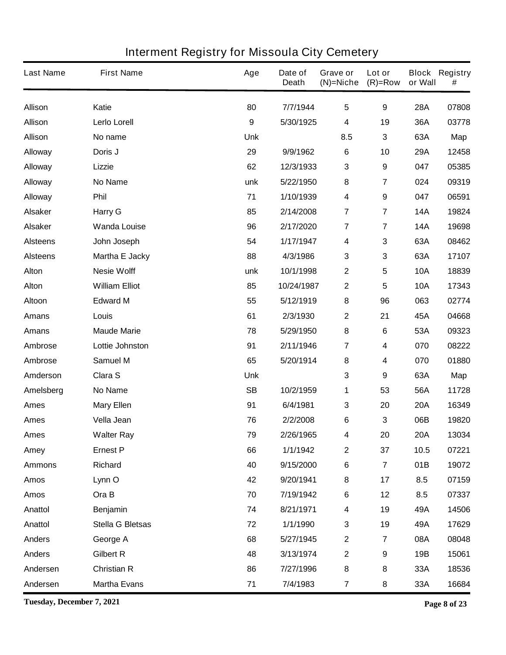| <b>Last Name</b> | <b>First Name</b>       | Age              | Date of<br><b>Death</b> | Grave or<br>$(N)$ =Niche | Lot or<br>$(R)=Row$     | or Wall    | <b>Block Registry</b><br># |
|------------------|-------------------------|------------------|-------------------------|--------------------------|-------------------------|------------|----------------------------|
| <b>Allison</b>   | Katie                   | 80               | 7/7/1944                | 5                        | 9                       | 28A        | 07808                      |
| <b>Allison</b>   | Lerlo Lorell            | $\boldsymbol{9}$ | 5/30/1925               | 4                        | 19                      | 36A        | 03778                      |
| <b>Allison</b>   | No name                 | <b>Unk</b>       |                         | 8.5                      | $\mathbf{3}$            | 63A        | Map                        |
| <b>Alloway</b>   | Doris J                 | 29               | 9/9/1962                | $\bf 6$                  | 10                      | 29A        | 12458                      |
| <b>Alloway</b>   | Lizzie                  | 62               | 12/3/1933               | 3                        | 9                       | 047        | 05385                      |
| <b>Alloway</b>   | <b>No Name</b>          | unk              | 5/22/1950               | 8                        | $\overline{\mathbf{7}}$ | 024        | 09319                      |
| <b>Alloway</b>   | Phil                    | 71               | 1/10/1939               | 4                        | 9                       | 047        | 06591                      |
| <b>Alsaker</b>   | <b>Harry G</b>          | 85               | 2/14/2008               | $\overline{\mathbf{7}}$  | $\overline{7}$          | <b>14A</b> | 19824                      |
| <b>Alsaker</b>   | <b>Wanda Louise</b>     | 96               | 2/17/2020               | $\overline{\mathbf{7}}$  | 7                       | <b>14A</b> | 19698                      |
| <b>Alsteens</b>  | John Joseph             | 54               | 1/17/1947               | 4                        | 3                       | 63A        | 08462                      |
| <b>Alsteens</b>  | Martha E Jacky          | 88               | 4/3/1986                | 3                        | 3                       | 63A        | 17107                      |
| <b>Alton</b>     | <b>Nesie Wolff</b>      | unk              | 10/1/1998               | $\mathbf 2$              | 5                       | <b>10A</b> | 18839                      |
| <b>Alton</b>     | <b>William Elliot</b>   | 85               | 10/24/1987              | $\mathbf 2$              | $5\phantom{.0}$         | <b>10A</b> | 17343                      |
| Altoon           | <b>Edward M</b>         | 55               | 5/12/1919               | 8                        | 96                      | 063        | 02774                      |
| <b>Amans</b>     | Louis                   | 61               | 2/3/1930                | $\mathbf 2$              | 21                      | 45A        | 04668                      |
| <b>Amans</b>     | <b>Maude Marie</b>      | 78               | 5/29/1950               | 8                        | 6                       | 53A        | 09323                      |
| Ambrose          | Lottie Johnston         | 91               | 2/11/1946               | 7                        | 4                       | 070        | 08222                      |
| Ambrose          | <b>Samuel M</b>         | 65               | 5/20/1914               | 8                        | 4                       | 070        | 01880                      |
| Amderson         | Clara S                 | <b>Unk</b>       |                         | 3                        | 9                       | 63A        | Map                        |
| Amelsberg        | <b>No Name</b>          | <b>SB</b>        | 10/2/1959               | 1                        | 53                      | 56A        | 11728                      |
| <b>Ames</b>      | <b>Mary Ellen</b>       | 91               | 6/4/1981                | 3                        | 20                      | <b>20A</b> | 16349                      |
| <b>Ames</b>      | Vella Jean              | 76               | 2/2/2008                | 6                        | 3                       | 06B        | 19820                      |
| <b>Ames</b>      | <b>Walter Ray</b>       | 79               | 2/26/1965               | 4                        | 20                      | <b>20A</b> | 13034                      |
| Amey             | <b>Ernest P</b>         | 66               | 1/1/1942                | $\mathbf 2$              | 37                      | 10.5       | 07221                      |
| <b>Ammons</b>    | <b>Richard</b>          | 40               | 9/15/2000               | 6                        | $\overline{7}$          | 01B        | 19072                      |
| <b>Amos</b>      | Lynn O                  | 42               | 9/20/1941               | 8                        | 17                      | 8.5        | 07159                      |
| <b>Amos</b>      | Ora B                   | 70               | 7/19/1942               | 6                        | 12                      | 8.5        | 07337                      |
| <b>Anattol</b>   | <b>Benjamin</b>         | 74               | 8/21/1971               | $\overline{\mathbf{4}}$  | 19                      | 49A        | 14506                      |
| Anattol          | <b>Stella G Bletsas</b> | 72               | 1/1/1990                | 3                        | 19                      | 49A        | 17629                      |
| <b>Anders</b>    | George A                | 68               | 5/27/1945               | $\boldsymbol{2}$         | $\overline{7}$          | 08A        | 08048                      |
| <b>Anders</b>    | <b>Gilbert R</b>        | 48               | 3/13/1974               | $\mathbf 2$              | 9                       | 19B        | 15061                      |
| Andersen         | <b>Christian R</b>      | 86               | 7/27/1996               | 8                        | 8                       | 33A        | 18536                      |
| Andersen         | <b>Martha Evans</b>     | 71               | 7/4/1983                | $\overline{\mathbf{r}}$  | 8                       | 33A        | 16684                      |

**Tuesday, December 7, 2021 Page 8 of 23**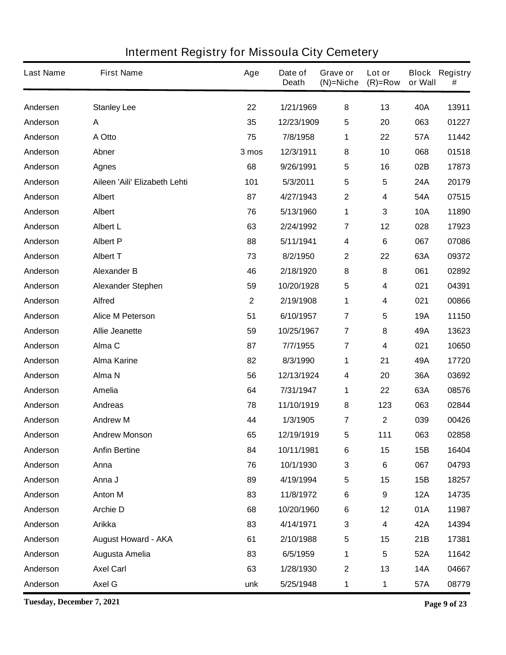| <b>Last Name</b> | <b>First Name</b>             | Age          | Date of<br><b>Death</b> | Grave or<br>$(N)$ =Niche | Lot or<br>$(R)=Row$ | or Wall    | <b>Block Registry</b><br># |
|------------------|-------------------------------|--------------|-------------------------|--------------------------|---------------------|------------|----------------------------|
| Andersen         | <b>Stanley Lee</b>            | 22           | 1/21/1969               | 8                        | 13                  | 40A        | 13911                      |
| Anderson         | A                             | 35           | 12/23/1909              | 5                        | 20                  | 063        | 01227                      |
| Anderson         | A Otto                        | 75           | 7/8/1958                | 1                        | 22                  | 57A        | 11442                      |
| Anderson         | Abner                         | 3 mos        | 12/3/1911               | 8                        | 10                  | 068        | 01518                      |
| Anderson         | <b>Agnes</b>                  | 68           | 9/26/1991               | 5                        | 16                  | 02B        | 17873                      |
| Anderson         | Aileen 'Aili' Elizabeth Lehti | 101          | 5/3/2011                | 5                        | 5                   | 24A        | 20179                      |
| Anderson         | Albert                        | 87           | 4/27/1943               | 2                        | 4                   | 54A        | 07515                      |
| Anderson         | <b>Albert</b>                 | 76           | 5/13/1960               | 1                        | 3                   | <b>10A</b> | 11890                      |
| Anderson         | <b>Albert L</b>               | 63           | 2/24/1992               | 7                        | 12                  | 028        | 17923                      |
| Anderson         | <b>Albert P</b>               | 88           | 5/11/1941               | 4                        | $\bf 6$             | 067        | 07086                      |
| Anderson         | <b>Albert T</b>               | 73           | 8/2/1950                | 2                        | 22                  | 63A        | 09372                      |
| Anderson         | <b>Alexander B</b>            | 46           | 2/18/1920               | 8                        | 8                   | 061        | 02892                      |
| Anderson         | <b>Alexander Stephen</b>      | 59           | 10/20/1928              | 5                        | 4                   | 021        | 04391                      |
| Anderson         | <b>Alfred</b>                 | $\mathbf{2}$ | 2/19/1908               | 1                        | 4                   | 021        | 00866                      |
| Anderson         | <b>Alice M Peterson</b>       | 51           | 6/10/1957               | $\overline{7}$           | 5                   | <b>19A</b> | 11150                      |
| Anderson         | <b>Allie Jeanette</b>         | 59           | 10/25/1967              | 7                        | ${\bf 8}$           | 49A        | 13623                      |
| Anderson         | Alma C                        | 87           | 7/7/1955                | $\overline{\mathbf{7}}$  | 4                   | 021        | 10650                      |
| Anderson         | <b>Alma Karine</b>            | 82           | 8/3/1990                | 1                        | 21                  | 49A        | 17720                      |
| Anderson         | Alma N                        | 56           | 12/13/1924              | 4                        | 20                  | 36A        | 03692                      |
| Anderson         | Amelia                        | 64           | 7/31/1947               | 1                        | 22                  | 63A        | 08576                      |
| Anderson         | <b>Andreas</b>                | 78           | 11/10/1919              | 8                        | 123                 | 063        | 02844                      |
| Anderson         | <b>Andrew M</b>               | 44           | 1/3/1905                | 7                        | $\mathbf 2$         | 039        | 00426                      |
| Anderson         | <b>Andrew Monson</b>          | 65           | 12/19/1919              | 5                        | 111                 | 063        | 02858                      |
| Anderson         | <b>Anfin Bertine</b>          | 84           | 10/11/1981              | 6                        | 15                  | 15B        | 16404                      |
| Anderson         | Anna                          | 76           | 10/1/1930               | 3                        | 6                   | 067        | 04793                      |
| Anderson         | Anna J                        | 89           | 4/19/1994               | 5                        | 15                  | 15B        | 18257                      |
| Anderson         | <b>Anton M</b>                | 83           | 11/8/1972               | 6                        | 9                   | <b>12A</b> | 14735                      |
| Anderson         | <b>Archie D</b>               | 68           | 10/20/1960              | 6                        | 12                  | 01A        | 11987                      |
| Anderson         | <b>Arikka</b>                 | 83           | 4/14/1971               | 3                        | 4                   | 42A        | 14394                      |
| Anderson         | <b>August Howard - AKA</b>    | 61           | 2/10/1988               | 5                        | 15                  | 21B        | 17381                      |
| Anderson         | Augusta Amelia                | 83           | 6/5/1959                | 1                        | 5                   | 52A        | 11642                      |
| Anderson         | <b>Axel Carl</b>              | 63           | 1/28/1930               | $\mathbf 2$              | 13                  | <b>14A</b> | 04667                      |
| Anderson         | Axel G                        | unk          | 5/25/1948               | 1                        | 1                   | 57A        | 08779                      |

**Tuesday, December 7, 2021 Page 9 of 23**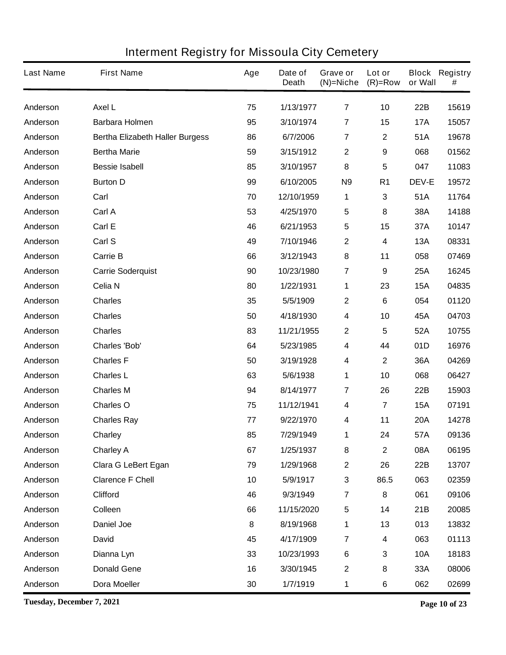| <b>Last Name</b> | <b>First Name</b>                      | Age | Date of<br><b>Death</b> | Grave or<br>$(N)$ =Niche | Lot or<br>$(R)=Row$ | or Wall      | <b>Block Registry</b><br># |
|------------------|----------------------------------------|-----|-------------------------|--------------------------|---------------------|--------------|----------------------------|
| Anderson         | <b>Axel L</b>                          | 75  | 1/13/1977               | $\overline{7}$           | 10                  | 22B          | 15619                      |
| Anderson         | <b>Barbara Holmen</b>                  | 95  | 3/10/1974               | $\overline{7}$           | 15                  | <b>17A</b>   | 15057                      |
| Anderson         | <b>Bertha Elizabeth Haller Burgess</b> | 86  | 6/7/2006                | $\overline{7}$           | $\mathbf 2$         | 51A          | 19678                      |
| Anderson         | <b>Bertha Marie</b>                    | 59  | 3/15/1912               | $\boldsymbol{2}$         | 9                   | 068          | 01562                      |
| Anderson         | <b>Bessie Isabell</b>                  | 85  | 3/10/1957               | 8                        | 5                   | 047          | 11083                      |
| Anderson         | <b>Burton D</b>                        | 99  | 6/10/2005               | N <sub>9</sub>           | R <sub>1</sub>      | <b>DEV-E</b> | 19572                      |
| Anderson         | Carl                                   | 70  | 12/10/1959              | 1                        | 3                   | 51A          | 11764                      |
| Anderson         | Carl A                                 | 53  | 4/25/1970               | 5                        | 8                   | 38A          | 14188                      |
| Anderson         | Carl E                                 | 46  | 6/21/1953               | 5                        | 15                  | 37A          | 10147                      |
| Anderson         | Carl S                                 | 49  | 7/10/1946               | $\mathbf 2$              | 4                   | <b>13A</b>   | 08331                      |
| Anderson         | <b>Carrie B</b>                        | 66  | 3/12/1943               | 8                        | 11                  | 058          | 07469                      |
| Anderson         | <b>Carrie Soderquist</b>               | 90  | 10/23/1980              | $\overline{7}$           | 9                   | 25A          | 16245                      |
| Anderson         | Celia N                                | 80  | 1/22/1931               | 1                        | 23                  | <b>15A</b>   | 04835                      |
| Anderson         | <b>Charles</b>                         | 35  | 5/5/1909                | $\mathbf{2}$             | 6                   | 054          | 01120                      |
| Anderson         | <b>Charles</b>                         | 50  | 4/18/1930               | 4                        | 10                  | 45A          | 04703                      |
| Anderson         | <b>Charles</b>                         | 83  | 11/21/1955              | $\mathbf 2$              | 5                   | 52A          | 10755                      |
| Anderson         | <b>Charles 'Bob'</b>                   | 64  | 5/23/1985               | 4                        | 44                  | 01D          | 16976                      |
| Anderson         | <b>Charles F</b>                       | 50  | 3/19/1928               | 4                        | $\mathbf 2$         | 36A          | 04269                      |
| Anderson         | <b>Charles L</b>                       | 63  | 5/6/1938                | 1                        | 10                  | 068          | 06427                      |
| Anderson         | <b>Charles M</b>                       | 94  | 8/14/1977               | 7                        | 26                  | 22B          | 15903                      |
| Anderson         | <b>Charles O</b>                       | 75  | 11/12/1941              | 4                        | 7                   | <b>15A</b>   | 07191                      |
| Anderson         | <b>Charles Ray</b>                     | 77  | 9/22/1970               | 4                        | 11                  | <b>20A</b>   | 14278                      |
| Anderson         | Charley                                | 85  | 7/29/1949               | 1                        | 24                  | 57A          | 09136                      |
| Anderson         | <b>Charley A</b>                       | 67  | 1/25/1937               | 8                        | $\mathbf{2}$        | 08A          | 06195                      |
| Anderson         | <b>Clara G LeBert Egan</b>             | 79  | 1/29/1968               | $\mathbf 2$              | 26                  | 22B          | 13707                      |
| Anderson         | <b>Clarence F Chell</b>                | 10  | 5/9/1917                | $\mathbf{3}$             | 86.5                | 063          | 02359                      |
| Anderson         | <b>Clifford</b>                        | 46  | 9/3/1949                | $\overline{\mathbf{7}}$  | 8                   | 061          | 09106                      |
| Anderson         | Colleen                                | 66  | 11/15/2020              | 5                        | 14                  | 21B          | 20085                      |
| Anderson         | <b>Daniel Joe</b>                      | 8   | 8/19/1968               | 1                        | 13                  | 013          | 13832                      |
| Anderson         | <b>David</b>                           | 45  | 4/17/1909               | $\overline{\mathbf{7}}$  | 4                   | 063          | 01113                      |
| Anderson         | Dianna Lyn                             | 33  | 10/23/1993              | $\bf 6$                  | 3                   | <b>10A</b>   | 18183                      |
| Anderson         | <b>Donald Gene</b>                     | 16  | 3/30/1945               | $\mathbf 2$              | 8                   | 33A          | 08006                      |
| Anderson         | <b>Dora Moeller</b>                    | 30  | 1/7/1919                | 1                        | 6                   | 062          | 02699                      |

**Tuesday, December 7, 2021 Page 10 of 23**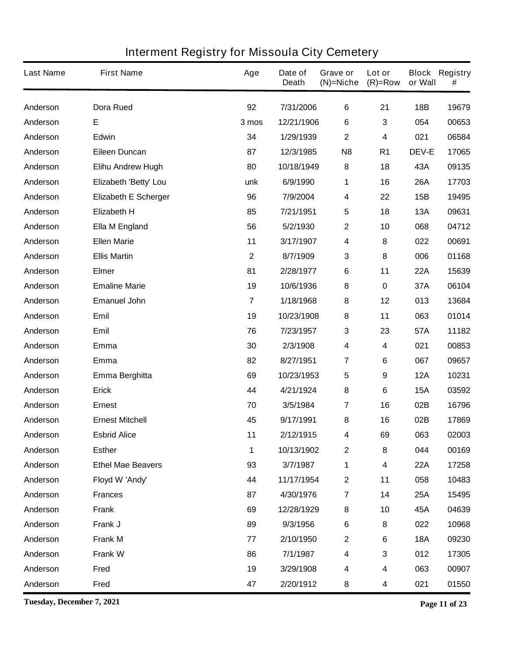| <b>Last Name</b> | <b>First Name</b>           | Age            | Date of<br><b>Death</b> | Grave or<br>$(N)$ =Niche | Lot or<br>$(R)=Row$ | or Wall      | <b>Block Registry</b><br># |
|------------------|-----------------------------|----------------|-------------------------|--------------------------|---------------------|--------------|----------------------------|
| Anderson         | <b>Dora Rued</b>            | 92             | 7/31/2006               | 6                        | 21                  | <b>18B</b>   | 19679                      |
| Anderson         | E                           | 3 mos          | 12/21/1906              | 6                        | 3                   | 054          | 00653                      |
| Anderson         | Edwin                       | 34             | 1/29/1939               | $\mathbf{2}$             | 4                   | 021          | 06584                      |
| Anderson         | <b>Eileen Duncan</b>        | 87             | 12/3/1985               | N <sub>8</sub>           | R <sub>1</sub>      | <b>DEV-E</b> | 17065                      |
| Anderson         | <b>Elihu Andrew Hugh</b>    | 80             | 10/18/1949              | 8                        | 18                  | 43A          | 09135                      |
| Anderson         | Elizabeth 'Betty' Lou       | unk            | 6/9/1990                | 1                        | 16                  | <b>26A</b>   | 17703                      |
| Anderson         | <b>Elizabeth E Scherger</b> | 96             | 7/9/2004                | 4                        | 22                  | 15B          | 19495                      |
| Anderson         | <b>Elizabeth H</b>          | 85             | 7/21/1951               | 5                        | 18                  | 13A          | 09631                      |
| Anderson         | <b>Ella M England</b>       | 56             | 5/2/1930                | $\mathbf 2$              | 10                  | 068          | 04712                      |
| Anderson         | <b>Ellen Marie</b>          | 11             | 3/17/1907               | 4                        | 8                   | 022          | 00691                      |
| Anderson         | <b>Ellis Martin</b>         | $\mathbf{2}$   | 8/7/1909                | 3                        | 8                   | 006          | 01168                      |
| Anderson         | <b>Elmer</b>                | 81             | 2/28/1977               | 6                        | 11                  | <b>22A</b>   | 15639                      |
| Anderson         | <b>Emaline Marie</b>        | 19             | 10/6/1936               | 8                        | $\pmb{0}$           | 37A          | 06104                      |
| Anderson         | <b>Emanuel John</b>         | $\overline{7}$ | 1/18/1968               | 8                        | 12                  | 013          | 13684                      |
| Anderson         | Emil                        | 19             | 10/23/1908              | 8                        | 11                  | 063          | 01014                      |
| Anderson         | <b>Emil</b>                 | 76             | 7/23/1957               | 3                        | 23                  | 57A          | 11182                      |
| Anderson         | Emma                        | 30             | 2/3/1908                | 4                        | 4                   | 021          | 00853                      |
| Anderson         | Emma                        | 82             | 8/27/1951               | $\overline{7}$           | 6                   | 067          | 09657                      |
| Anderson         | Emma Berghitta              | 69             | 10/23/1953              | 5                        | 9                   | <b>12A</b>   | 10231                      |
| Anderson         | <b>Erick</b>                | 44             | 4/21/1924               | 8                        | 6                   | <b>15A</b>   | 03592                      |
| Anderson         | <b>Ernest</b>               | 70             | 3/5/1984                | $\overline{\mathbf{r}}$  | 16                  | 02B          | 16796                      |
| Anderson         | <b>Ernest Mitchell</b>      | 45             | 9/17/1991               | 8                        | 16                  | 02B          | 17869                      |
| Anderson         | <b>Esbrid Alice</b>         | 11             | 2/12/1915               | 4                        | 69                  | 063          | 02003                      |
| Anderson         | <b>Esther</b>               | 1              | 10/13/1902              | $\mathbf 2$              | 8                   | 044          | 00169                      |
| Anderson         | <b>Ethel Mae Beavers</b>    | 93             | 3/7/1987                | 1                        | 4                   | 22A          | 17258                      |
| Anderson         | Floyd W 'Andy'              | 44             | 11/17/1954              | $\mathbf 2$              | 11                  | 058          | 10483                      |
| Anderson         | <b>Frances</b>              | 87             | 4/30/1976               | $\overline{\mathbf{7}}$  | 14                  | 25A          | 15495                      |
| Anderson         | <b>Frank</b>                | 69             | 12/28/1929              | 8                        | 10                  | 45A          | 04639                      |
| Anderson         | Frank J                     | 89             | 9/3/1956                | 6                        | 8                   | 022          | 10968                      |
| Anderson         | <b>Frank M</b>              | 77             | 2/10/1950               | $\mathbf 2$              | 6                   | <b>18A</b>   | 09230                      |
| Anderson         | <b>Frank W</b>              | 86             | 7/1/1987                | 4                        | 3                   | 012          | 17305                      |
| Anderson         | Fred                        | 19             | 3/29/1908               | 4                        | 4                   | 063          | 00907                      |
| Anderson         | Fred                        | 47             | 2/20/1912               | 8                        | 4                   | 021          | 01550                      |

**Tuesday, December 7, 2021 Page 11 of 23**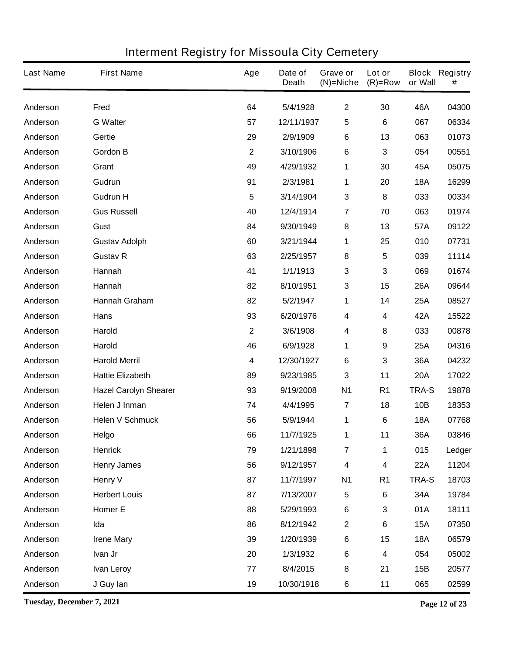| <b>Last Name</b> | <b>First Name</b>            | Age          | Date of<br><b>Death</b> | Grave or<br>$(N)$ =Niche | Lot or<br>$(R)=Row$ | or Wall      | <b>Block Registry</b><br># |
|------------------|------------------------------|--------------|-------------------------|--------------------------|---------------------|--------------|----------------------------|
| Anderson         | Fred                         | 64           | 5/4/1928                | $\mathbf 2$              | 30                  | 46A          | 04300                      |
| Anderson         | <b>G</b> Walter              | 57           | 12/11/1937              | 5                        | 6                   | 067          | 06334                      |
| Anderson         | Gertie                       | 29           | 2/9/1909                | 6                        | 13                  | 063          | 01073                      |
| Anderson         | <b>Gordon B</b>              | $\mathbf{2}$ | 3/10/1906               | 6                        | 3                   | 054          | 00551                      |
| Anderson         | Grant                        | 49           | 4/29/1932               | 1                        | 30                  | 45A          | 05075                      |
| Anderson         | Gudrun                       | 91           | 2/3/1981                | 1                        | 20                  | <b>18A</b>   | 16299                      |
| Anderson         | <b>Gudrun H</b>              | 5            | 3/14/1904               | 3                        | 8                   | 033          | 00334                      |
| Anderson         | <b>Gus Russell</b>           | 40           | 12/4/1914               | $\overline{\mathbf{7}}$  | 70                  | 063          | 01974                      |
| Anderson         | Gust                         | 84           | 9/30/1949               | 8                        | 13                  | 57A          | 09122                      |
| Anderson         | <b>Gustav Adolph</b>         | 60           | 3/21/1944               | 1                        | 25                  | 010          | 07731                      |
| Anderson         | <b>Gustav R</b>              | 63           | 2/25/1957               | 8                        | 5                   | 039          | 11114                      |
| Anderson         | Hannah                       | 41           | 1/1/1913                | 3                        | 3                   | 069          | 01674                      |
| Anderson         | Hannah                       | 82           | 8/10/1951               | 3                        | 15                  | 26A          | 09644                      |
| Anderson         | Hannah Graham                | 82           | 5/2/1947                | 1                        | 14                  | 25A          | 08527                      |
| Anderson         | <b>Hans</b>                  | 93           | 6/20/1976               | 4                        | 4                   | 42A          | 15522                      |
| Anderson         | Harold                       | $\mathbf{2}$ | 3/6/1908                | 4                        | 8                   | 033          | 00878                      |
| Anderson         | <b>Harold</b>                | 46           | 6/9/1928                | 1                        | 9                   | 25A          | 04316                      |
| Anderson         | <b>Harold Merril</b>         | 4            | 12/30/1927              | 6                        | 3                   | 36A          | 04232                      |
| Anderson         | <b>Hattie Elizabeth</b>      | 89           | 9/23/1985               | 3                        | 11                  | <b>20A</b>   | 17022                      |
| Anderson         | <b>Hazel Carolyn Shearer</b> | 93           | 9/19/2008               | <b>N1</b>                | R <sub>1</sub>      | <b>TRA-S</b> | 19878                      |
| Anderson         | Helen J Inman                | 74           | 4/4/1995                | 7                        | 18                  | 10B          | 18353                      |
| Anderson         | <b>Helen V Schmuck</b>       | 56           | 5/9/1944                | 1                        | 6                   | <b>18A</b>   | 07768                      |
| Anderson         | Helgo                        | 66           | 11/7/1925               | 1                        | 11                  | 36A          | 03846                      |
| Anderson         | <b>Henrick</b>               | 79           | 1/21/1898               | $\overline{7}$           | 1                   | 015          | Ledger                     |
| Anderson         | <b>Henry James</b>           | 56           | 9/12/1957               | $\overline{\mathbf{4}}$  | 4                   | <b>22A</b>   | 11204                      |
| Anderson         | <b>Henry V</b>               | 87           | 11/7/1997               | <b>N1</b>                | R <sub>1</sub>      | TRA-S        | 18703                      |
| Anderson         | <b>Herbert Louis</b>         | 87           | 7/13/2007               | 5                        | $6\phantom{a}$      | 34A          | 19784                      |
| Anderson         | Homer E                      | 88           | 5/29/1993               | 6                        | 3                   | 01A          | 18111                      |
| Anderson         | Ida                          | 86           | 8/12/1942               | $\mathbf 2$              | $\bf 6$             | <b>15A</b>   | 07350                      |
| Anderson         | <b>Irene Mary</b>            | 39           | 1/20/1939               | 6                        | 15                  | <b>18A</b>   | 06579                      |
| Anderson         | Ivan Jr                      | 20           | 1/3/1932                | $\bf 6$                  | 4                   | 054          | 05002                      |
| Anderson         | <b>Ivan Leroy</b>            | 77           | 8/4/2015                | $\bf 8$                  | 21                  | 15B          | 20577                      |
| Anderson         | J Guy lan                    | 19           | 10/30/1918              | 6                        | 11                  | 065          | 02599                      |

**Tuesday, December 7, 2021 Page 12 of 23**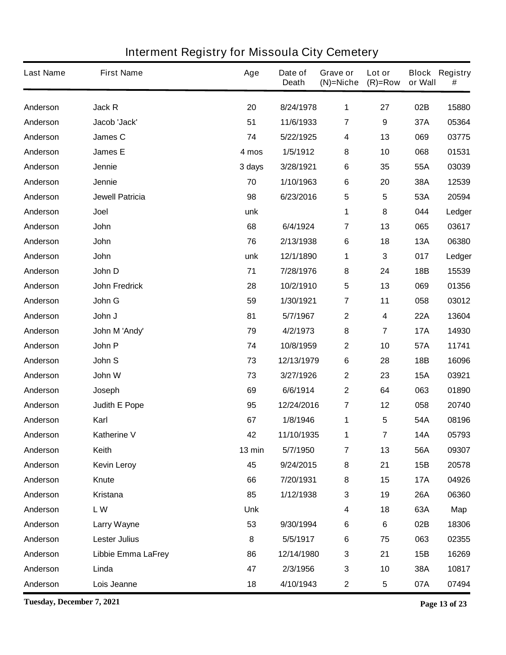| <b>Last Name</b> | <b>First Name</b>      | Age        | Date of<br><b>Death</b> | Grave or<br>$(N)$ =Niche | Lot or<br>$(R)=Row$     | or Wall    | <b>Block Registry</b><br># |
|------------------|------------------------|------------|-------------------------|--------------------------|-------------------------|------------|----------------------------|
| Anderson         | Jack R                 | 20         | 8/24/1978               | 1                        | 27                      | 02B        | 15880                      |
| Anderson         | Jacob 'Jack'           | 51         | 11/6/1933               | $\overline{\mathbf{7}}$  | 9                       | 37A        | 05364                      |
| Anderson         | James C                | 74         | 5/22/1925               | 4                        | 13                      | 069        | 03775                      |
| Anderson         | James E                | 4 mos      | 1/5/1912                | 8                        | 10                      | 068        | 01531                      |
| Anderson         | Jennie                 | 3 days     | 3/28/1921               | 6                        | 35                      | 55A        | 03039                      |
| Anderson         | Jennie                 | 70         | 1/10/1963               | 6                        | 20                      | 38A        | 12539                      |
| Anderson         | <b>Jewell Patricia</b> | 98         | 6/23/2016               | 5                        | 5                       | 53A        | 20594                      |
| Anderson         | Joel                   | unk        |                         | 1                        | 8                       | 044        | Ledger                     |
| Anderson         | John                   | 68         | 6/4/1924                | $\overline{7}$           | 13                      | 065        | 03617                      |
| Anderson         | John                   | 76         | 2/13/1938               | 6                        | 18                      | 13A        | 06380                      |
| Anderson         | John                   | unk        | 12/1/1890               | 1                        | 3                       | 017        | Ledger                     |
| Anderson         | John D                 | 71         | 7/28/1976               | 8                        | 24                      | 18B        | 15539                      |
| Anderson         | <b>John Fredrick</b>   | 28         | 10/2/1910               | 5                        | 13                      | 069        | 01356                      |
| Anderson         | John G                 | 59         | 1/30/1921               | $\overline{\mathbf{7}}$  | 11                      | 058        | 03012                      |
| Anderson         | John J                 | 81         | 5/7/1967                | $\boldsymbol{2}$         | 4                       | <b>22A</b> | 13604                      |
| Anderson         | John M 'Andy'          | 79         | 4/2/1973                | 8                        | 7                       | <b>17A</b> | 14930                      |
| Anderson         | John P                 | 74         | 10/8/1959               | $\mathbf 2$              | 10                      | 57A        | 11741                      |
| Anderson         | John S                 | 73         | 12/13/1979              | 6                        | 28                      | 18B        | 16096                      |
| Anderson         | John W                 | 73         | 3/27/1926               | $\mathbf 2$              | 23                      | <b>15A</b> | 03921                      |
| Anderson         | Joseph                 | 69         | 6/6/1914                | $\mathbf 2$              | 64                      | 063        | 01890                      |
| Anderson         | <b>Judith E Pope</b>   | 95         | 12/24/2016              | $\overline{7}$           | 12                      | 058        | 20740                      |
| Anderson         | Karl                   | 67         | 1/8/1946                | 1                        | 5                       | 54A        | 08196                      |
| Anderson         | Katherine V            | 42         | 11/10/1935              | 1                        | $\overline{\mathbf{r}}$ | <b>14A</b> | 05793                      |
| Anderson         | Keith                  | 13 min     | 5/7/1950                | $\overline{7}$           | 13                      | 56A        | 09307                      |
| Anderson         | <b>Kevin Leroy</b>     | 45         | 9/24/2015               | 8                        | 21                      | 15B        | 20578                      |
| Anderson         | Knute                  | 66         | 7/20/1931               | 8                        | 15                      | <b>17A</b> | 04926                      |
| Anderson         | <b>Kristana</b>        | 85         | 1/12/1938               | 3                        | 19                      | <b>26A</b> | 06360                      |
| Anderson         | LW                     | <b>Unk</b> |                         | 4                        | 18                      | 63A        | Map                        |
| Anderson         | Larry Wayne            | 53         | 9/30/1994               | 6                        | 6                       | 02B        | 18306                      |
| Anderson         | <b>Lester Julius</b>   | 8          | 5/5/1917                | 6                        | 75                      | 063        | 02355                      |
| Anderson         | Libbie Emma LaFrey     | 86         | 12/14/1980              | 3                        | 21                      | 15B        | 16269                      |
| Anderson         | Linda                  | 47         | 2/3/1956                | $\mathbf 3$              | 10                      | 38A        | 10817                      |
| Anderson         | Lois Jeanne            | 18         | 4/10/1943               | $\mathbf 2$              | 5                       | 07A        | 07494                      |

**Tuesday, December 7, 2021 Page 13 of 23**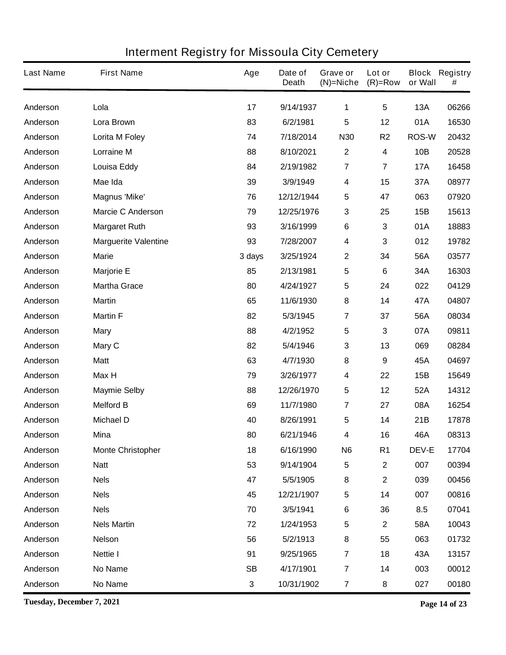| <b>Last Name</b> | <b>First Name</b>           | Age       | Date of<br><b>Death</b> | Grave or<br>$(N)$ =Niche | Lot or<br>$(R)=Row$     | or Wall      | <b>Block Registry</b><br># |
|------------------|-----------------------------|-----------|-------------------------|--------------------------|-------------------------|--------------|----------------------------|
| Anderson         | Lola                        | 17        | 9/14/1937               | 1                        | $5\phantom{1}$          | <b>13A</b>   | 06266                      |
| Anderson         | Lora Brown                  | 83        | 6/2/1981                | 5                        | 12                      | 01A          | 16530                      |
| Anderson         | Lorita M Foley              | 74        | 7/18/2014               | <b>N30</b>               | R <sub>2</sub>          | <b>ROS-W</b> | 20432                      |
| Anderson         | <b>Lorraine M</b>           | 88        | 8/10/2021               | $\mathbf{2}$             | 4                       | 10B          | 20528                      |
| Anderson         | <b>Louisa Eddy</b>          | 84        | 2/19/1982               | $\overline{\mathbf{r}}$  | $\overline{\mathbf{7}}$ | <b>17A</b>   | 16458                      |
| Anderson         | Mae Ida                     | 39        | 3/9/1949                | $\boldsymbol{4}$         | 15                      | 37A          | 08977                      |
| Anderson         | <b>Magnus 'Mike'</b>        | 76        | 12/12/1944              | 5                        | 47                      | 063          | 07920                      |
| Anderson         | <b>Marcie C Anderson</b>    | 79        | 12/25/1976              | 3                        | 25                      | 15B          | 15613                      |
| Anderson         | <b>Margaret Ruth</b>        | 93        | 3/16/1999               | 6                        | 3                       | 01A          | 18883                      |
| Anderson         | <b>Marguerite Valentine</b> | 93        | 7/28/2007               | 4                        | 3                       | 012          | 19782                      |
| Anderson         | <b>Marie</b>                | 3 days    | 3/25/1924               | $\mathbf 2$              | 34                      | 56A          | 03577                      |
| Anderson         | <b>Marjorie E</b>           | 85        | 2/13/1981               | 5                        | 6                       | 34A          | 16303                      |
| Anderson         | <b>Martha Grace</b>         | 80        | 4/24/1927               | 5                        | 24                      | 022          | 04129                      |
| Anderson         | <b>Martin</b>               | 65        | 11/6/1930               | 8                        | 14                      | 47A          | 04807                      |
| Anderson         | <b>Martin F</b>             | 82        | 5/3/1945                | $\overline{7}$           | 37                      | 56A          | 08034                      |
| Anderson         | <b>Mary</b>                 | 88        | 4/2/1952                | $\sqrt{5}$               | 3                       | 07A          | 09811                      |
| Anderson         | Mary C                      | 82        | 5/4/1946                | 3                        | 13                      | 069          | 08284                      |
| Anderson         | <b>Matt</b>                 | 63        | 4/7/1930                | 8                        | $\boldsymbol{9}$        | 45A          | 04697                      |
| Anderson         | Max H                       | 79        | 3/26/1977               | 4                        | 22                      | 15B          | 15649                      |
| Anderson         | <b>Maymie Selby</b>         | 88        | 12/26/1970              | 5                        | 12                      | 52A          | 14312                      |
| Anderson         | <b>Melford B</b>            | 69        | 11/7/1980               | $\overline{\mathbf{r}}$  | 27                      | 08A          | 16254                      |
| Anderson         | <b>Michael D</b>            | 40        | 8/26/1991               | 5                        | 14                      | 21B          | 17878                      |
| Anderson         | Mina                        | 80        | 6/21/1946               | 4                        | 16                      | 46A          | 08313                      |
| Anderson         | <b>Monte Christopher</b>    | 18        | 6/16/1990               | N <sub>6</sub>           | R <sub>1</sub>          | <b>DEV-E</b> | 17704                      |
| Anderson         | <b>Natt</b>                 | 53        | 9/14/1904               | 5                        | $\boldsymbol{2}$        | 007          | 00394                      |
| Anderson         | <b>Nels</b>                 | 47        | 5/5/1905                | 8                        | $\boldsymbol{2}$        | 039          | 00456                      |
| Anderson         | <b>Nels</b>                 | 45        | 12/21/1907              | 5                        | 14                      | 007          | 00816                      |
| Anderson         | <b>Nels</b>                 | 70        | 3/5/1941                | 6                        | 36                      | 8.5          | 07041                      |
| Anderson         | <b>Nels Martin</b>          | 72        | 1/24/1953               | 5                        | $\boldsymbol{2}$        | 58A          | 10043                      |
| Anderson         | <b>Nelson</b>               | 56        | 5/2/1913                | 8                        | 55                      | 063          | 01732                      |
| Anderson         | <b>Nettie I</b>             | 91        | 9/25/1965               | $\overline{\mathbf{r}}$  | 18                      | 43A          | 13157                      |
| Anderson         | No Name                     | <b>SB</b> | 4/17/1901               | $\overline{\mathbf{r}}$  | 14                      | 003          | 00012                      |
| Anderson         | No Name                     | 3         | 10/31/1902              | $\overline{7}$           | 8                       | 027          | 00180                      |

**Tuesday, December 7, 2021 Page 14 of 23**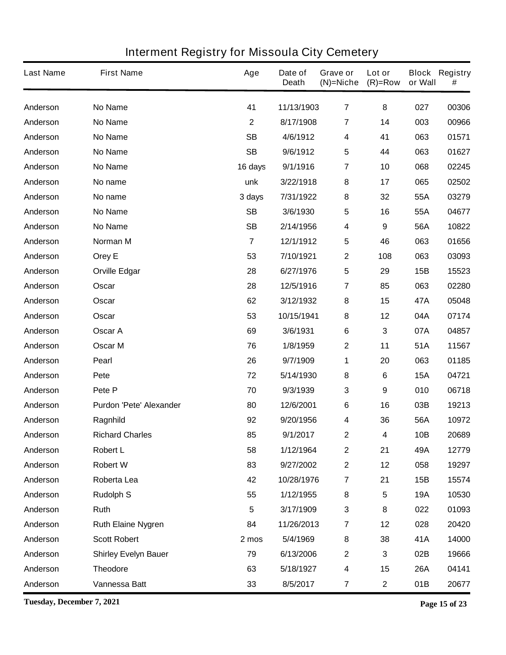| <b>Last Name</b> | <b>First Name</b>              | Age            | Date of<br><b>Death</b> | Grave or<br>$(N)$ =Niche | Lot or<br>$(R)=Row$ | or Wall    | <b>Block Registry</b><br># |
|------------------|--------------------------------|----------------|-------------------------|--------------------------|---------------------|------------|----------------------------|
| Anderson         | <b>No Name</b>                 | 41             | 11/13/1903              | $\overline{7}$           | 8                   | 027        | 00306                      |
| Anderson         | <b>No Name</b>                 | 2              | 8/17/1908               | 7                        | 14                  | 003        | 00966                      |
| Anderson         | <b>No Name</b>                 | <b>SB</b>      | 4/6/1912                | 4                        | 41                  | 063        | 01571                      |
| Anderson         | <b>No Name</b>                 | <b>SB</b>      | 9/6/1912                | 5                        | 44                  | 063        | 01627                      |
| Anderson         | <b>No Name</b>                 | 16 days        | 9/1/1916                | 7                        | 10                  | 068        | 02245                      |
| Anderson         | No name                        | unk            | 3/22/1918               | 8                        | 17                  | 065        | 02502                      |
| Anderson         | No name                        | 3 days         | 7/31/1922               | 8                        | 32                  | 55A        | 03279                      |
| Anderson         | <b>No Name</b>                 | <b>SB</b>      | 3/6/1930                | 5                        | 16                  | 55A        | 04677                      |
| Anderson         | <b>No Name</b>                 | <b>SB</b>      | 2/14/1956               | 4                        | 9                   | 56A        | 10822                      |
| Anderson         | Norman M                       | $\overline{7}$ | 12/1/1912               | 5                        | 46                  | 063        | 01656                      |
| Anderson         | Orey E                         | 53             | 7/10/1921               | 2                        | 108                 | 063        | 03093                      |
| Anderson         | <b>Orville Edgar</b>           | 28             | 6/27/1976               | 5                        | 29                  | 15B        | 15523                      |
| Anderson         | Oscar                          | 28             | 12/5/1916               | 7                        | 85                  | 063        | 02280                      |
| Anderson         | Oscar                          | 62             | 3/12/1932               | 8                        | 15                  | 47A        | 05048                      |
| Anderson         | Oscar                          | 53             | 10/15/1941              | 8                        | 12                  | 04A        | 07174                      |
| Anderson         | Oscar A                        | 69             | 3/6/1931                | 6                        | 3                   | 07A        | 04857                      |
| Anderson         | Oscar M                        | 76             | 1/8/1959                | 2                        | 11                  | 51A        | 11567                      |
| Anderson         | <b>Pearl</b>                   | 26             | 9/7/1909                | 1                        | 20                  | 063        | 01185                      |
| Anderson         | Pete                           | 72             | 5/14/1930               | 8                        | 6                   | <b>15A</b> | 04721                      |
| Anderson         | Pete P                         | 70             | 9/3/1939                | 3                        | 9                   | 010        | 06718                      |
| Anderson         | <b>Purdon 'Pete' Alexander</b> | 80             | 12/6/2001               | 6                        | 16                  | 03B        | 19213                      |
| Anderson         | Ragnhild                       | 92             | 9/20/1956               | 4                        | 36                  | 56A        | 10972                      |
| Anderson         | <b>Richard Charles</b>         | 85             | 9/1/2017                | 2                        | 4                   | 10B        | 20689                      |
| Anderson         | <b>Robert L</b>                | 58             | 1/12/1964               | $\mathbf 2$              | 21                  | 49A        | 12779                      |
| Anderson         | <b>Robert W</b>                | 83             | 9/27/2002               | $\mathbf 2$              | 12                  | 058        | 19297                      |
| Anderson         | Roberta Lea                    | 42             | 10/28/1976              | $\overline{\mathbf{7}}$  | 21                  | 15B        | 15574                      |
| Anderson         | <b>Rudolph S</b>               | 55             | 1/12/1955               | 8                        | 5                   | <b>19A</b> | 10530                      |
| Anderson         | Ruth                           | 5              | 3/17/1909               | 3                        | 8                   | 022        | 01093                      |
| Anderson         | <b>Ruth Elaine Nygren</b>      | 84             | 11/26/2013              | $\overline{7}$           | 12                  | 028        | 20420                      |
| Anderson         | <b>Scott Robert</b>            | 2 mos          | 5/4/1969                | 8                        | 38                  | 41A        | 14000                      |
| Anderson         | <b>Shirley Evelyn Bauer</b>    | 79             | 6/13/2006               | $\mathbf 2$              | 3                   | 02B        | 19666                      |
| Anderson         | <b>Theodore</b>                | 63             | 5/18/1927               | 4                        | 15                  | <b>26A</b> | 04141                      |
| Anderson         | Vannessa Batt                  | 33             | 8/5/2017                | 7                        | $\mathbf 2$         | 01B        | 20677                      |

**Tuesday, December 7, 2021 Page 15 of 23**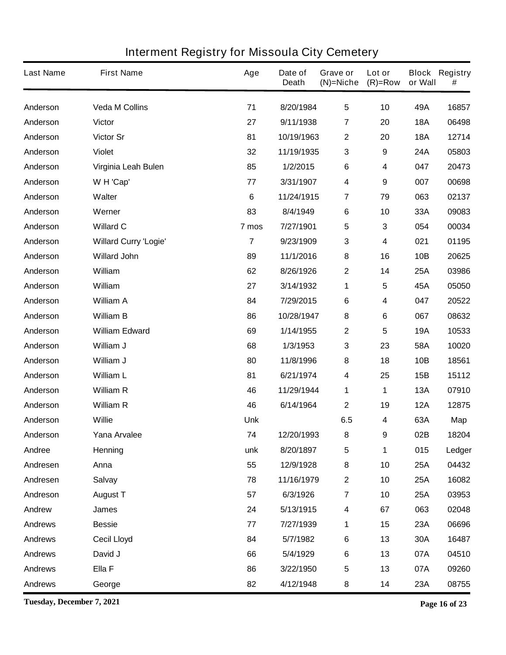| <b>Last Name</b> | <b>First Name</b>            | Age            | Date of<br><b>Death</b> | Grave or<br>$(N)$ =Niche | Lot or<br>$(R)=Row$ | or Wall    | <b>Block Registry</b><br># |
|------------------|------------------------------|----------------|-------------------------|--------------------------|---------------------|------------|----------------------------|
| Anderson         | <b>Veda M Collins</b>        | 71             | 8/20/1984               | $5\phantom{.0}$          | 10                  | 49A        | 16857                      |
| Anderson         | <b>Victor</b>                | 27             | 9/11/1938               | 7                        | 20                  | <b>18A</b> | 06498                      |
| Anderson         | Victor Sr                    | 81             | 10/19/1963              | 2                        | 20                  | <b>18A</b> | 12714                      |
| Anderson         | <b>Violet</b>                | 32             | 11/19/1935              | 3                        | $\boldsymbol{9}$    | 24A        | 05803                      |
| Anderson         | Virginia Leah Bulen          | 85             | 1/2/2015                | 6                        | 4                   | 047        | 20473                      |
| Anderson         | W H 'Cap'                    | 77             | 3/31/1907               | $\boldsymbol{4}$         | 9                   | 007        | 00698                      |
| Anderson         | Walter                       | 6              | 11/24/1915              | $\overline{\mathbf{r}}$  | 79                  | 063        | 02137                      |
| Anderson         | Werner                       | 83             | 8/4/1949                | 6                        | 10                  | 33A        | 09083                      |
| Anderson         | <b>Willard C</b>             | 7 mos          | 7/27/1901               | 5                        | 3                   | 054        | 00034                      |
| Anderson         | <b>Willard Curry 'Logie'</b> | $\overline{7}$ | 9/23/1909               | 3                        | 4                   | 021        | 01195                      |
| Anderson         | <b>Willard John</b>          | 89             | 11/1/2016               | 8                        | 16                  | 10B        | 20625                      |
| Anderson         | William                      | 62             | 8/26/1926               | 2                        | 14                  | 25A        | 03986                      |
| Anderson         | William                      | 27             | 3/14/1932               | 1                        | 5                   | 45A        | 05050                      |
| Anderson         | <b>William A</b>             | 84             | 7/29/2015               | 6                        | 4                   | 047        | 20522                      |
| Anderson         | <b>William B</b>             | 86             | 10/28/1947              | 8                        | 6                   | 067        | 08632                      |
| Anderson         | <b>William Edward</b>        | 69             | 1/14/1955               | 2                        | 5                   | <b>19A</b> | 10533                      |
| Anderson         | William J                    | 68             | 1/3/1953                | 3                        | 23                  | 58A        | 10020                      |
| Anderson         | William J                    | 80             | 11/8/1996               | 8                        | 18                  | 10B        | 18561                      |
| Anderson         | <b>William L</b>             | 81             | 6/21/1974               | 4                        | 25                  | 15B        | 15112                      |
| Anderson         | <b>William R</b>             | 46             | 11/29/1944              | 1                        | 1                   | <b>13A</b> | 07910                      |
| Anderson         | <b>William R</b>             | 46             | 6/14/1964               | 2                        | 19                  | <b>12A</b> | 12875                      |
| Anderson         | <b>Willie</b>                | <b>Unk</b>     |                         | 6.5                      | 4                   | 63A        | <b>Map</b>                 |
| Anderson         | Yana Arvalee                 | 74             | 12/20/1993              | 8                        | 9                   | 02B        | 18204                      |
| Andree           | Henning                      | unk            | 8/20/1897               | 5                        | 1                   | 015        | Ledger                     |
| Andresen         | Anna                         | 55             | 12/9/1928               | ${\bf 8}$                | 10                  | <b>25A</b> | 04432                      |
| Andresen         | <b>Salvay</b>                | 78             | 11/16/1979              | $\mathbf 2$              | 10                  | 25A        | 16082                      |
| Andreson         | <b>August T</b>              | 57             | 6/3/1926                | $\overline{\mathbf{7}}$  | 10                  | 25A        | 03953                      |
| Andrew           | James                        | 24             | 5/13/1915               | 4                        | 67                  | 063        | 02048                      |
| <b>Andrews</b>   | <b>Bessie</b>                | 77             | 7/27/1939               | 1                        | 15                  | 23A        | 06696                      |
| <b>Andrews</b>   | <b>Cecil Lloyd</b>           | 84             | 5/7/1982                | 6                        | 13                  | 30A        | 16487                      |
| <b>Andrews</b>   | David J                      | 66             | 5/4/1929                | $\bf 6$                  | 13                  | 07A        | 04510                      |
| <b>Andrews</b>   | Ella F                       | 86             | 3/22/1950               | 5                        | 13                  | 07A        | 09260                      |
| <b>Andrews</b>   | George                       | 82             | 4/12/1948               | 8                        | 14                  | 23A        | 08755                      |

**Tuesday, December 7, 2021 Page 16 of 23**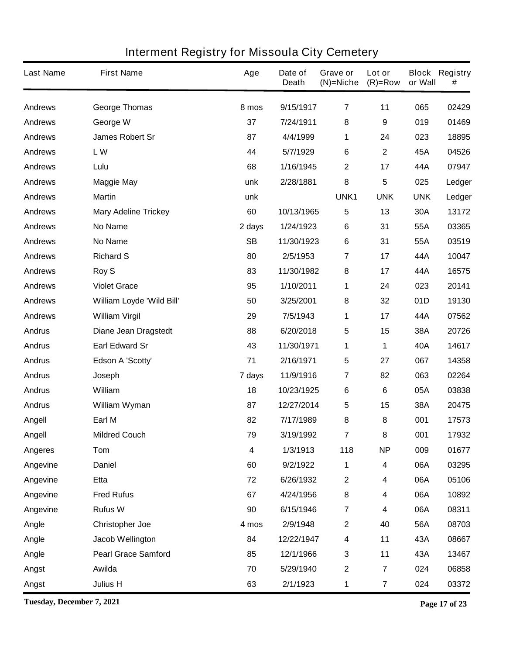| <b>Last Name</b> | <b>First Name</b>           | Age       | Date of<br><b>Death</b> | Grave or<br>$(N)$ =Niche | Lot or<br>$(R)=Row$     | or Wall    | <b>Block Registry</b><br># |
|------------------|-----------------------------|-----------|-------------------------|--------------------------|-------------------------|------------|----------------------------|
| <b>Andrews</b>   | <b>George Thomas</b>        | 8 mos     | 9/15/1917               | $\overline{7}$           | 11                      | 065        | 02429                      |
| <b>Andrews</b>   | George W                    | 37        | 7/24/1911               | 8                        | 9                       | 019        | 01469                      |
| <b>Andrews</b>   | <b>James Robert Sr</b>      | 87        | 4/4/1999                | 1                        | 24                      | 023        | 18895                      |
| <b>Andrews</b>   | <b>LW</b>                   | 44        | 5/7/1929                | 6                        | $\mathbf 2$             | 45A        | 04526                      |
| <b>Andrews</b>   | Lulu                        | 68        | 1/16/1945               | 2                        | 17                      | 44A        | 07947                      |
| <b>Andrews</b>   | <b>Maggie May</b>           | unk       | 2/28/1881               | 8                        | 5                       | 025        | Ledger                     |
| <b>Andrews</b>   | <b>Martin</b>               | unk       |                         | UNK1                     | <b>UNK</b>              | <b>UNK</b> | Ledger                     |
| <b>Andrews</b>   | <b>Mary Adeline Trickey</b> | 60        | 10/13/1965              | 5                        | 13                      | 30A        | 13172                      |
| <b>Andrews</b>   | <b>No Name</b>              | 2 days    | 1/24/1923               | 6                        | 31                      | 55A        | 03365                      |
| <b>Andrews</b>   | <b>No Name</b>              | <b>SB</b> | 11/30/1923              | 6                        | 31                      | 55A        | 03519                      |
| <b>Andrews</b>   | <b>Richard S</b>            | 80        | 2/5/1953                | 7                        | 17                      | 44A        | 10047                      |
| <b>Andrews</b>   | <b>Roy S</b>                | 83        | 11/30/1982              | 8                        | 17                      | 44A        | 16575                      |
| <b>Andrews</b>   | <b>Violet Grace</b>         | 95        | 1/10/2011               | 1                        | 24                      | 023        | 20141                      |
| <b>Andrews</b>   | William Loyde 'Wild Bill'   | 50        | 3/25/2001               | 8                        | 32                      | 01D        | 19130                      |
| <b>Andrews</b>   | <b>William Virgil</b>       | 29        | 7/5/1943                | 1                        | 17                      | 44A        | 07562                      |
| <b>Andrus</b>    | <b>Diane Jean Dragstedt</b> | 88        | 6/20/2018               | 5                        | 15                      | 38A        | 20726                      |
| <b>Andrus</b>    | <b>Earl Edward Sr</b>       | 43        | 11/30/1971              | 1                        | 1                       | 40A        | 14617                      |
| <b>Andrus</b>    | Edson A 'Scotty'            | 71        | 2/16/1971               | 5                        | 27                      | 067        | 14358                      |
| <b>Andrus</b>    | Joseph                      | 7 days    | 11/9/1916               | 7                        | 82                      | 063        | 02264                      |
| <b>Andrus</b>    | William                     | 18        | 10/23/1925              | 6                        | 6                       | 05A        | 03838                      |
| <b>Andrus</b>    | William Wyman               | 87        | 12/27/2014              | 5                        | 15                      | 38A        | 20475                      |
| Angell           | Earl M                      | 82        | 7/17/1989               | 8                        | 8                       | 001        | 17573                      |
| Angell           | <b>Mildred Couch</b>        | 79        | 3/19/1992               | 7                        | 8                       | 001        | 17932                      |
| <b>Angeres</b>   | Tom                         | 4         | 1/3/1913                | 118                      | <b>NP</b>               | 009        | 01677                      |
| Angevine         | <b>Daniel</b>               | 60        | 9/2/1922                | 1                        | 4                       | 06A        | 03295                      |
| Angevine         | Etta                        | 72        | 6/26/1932               | $\mathbf 2$              | 4                       | 06A        | 05106                      |
| Angevine         | <b>Fred Rufus</b>           | 67        | 4/24/1956               | 8                        | 4                       | 06A        | 10892                      |
| Angevine         | <b>Rufus W</b>              | 90        | 6/15/1946               | $\overline{\mathbf{7}}$  | 4                       | 06A        | 08311                      |
| Angle            | <b>Christopher Joe</b>      | 4 mos     | 2/9/1948                | $\mathbf 2$              | 40                      | 56A        | 08703                      |
| Angle            | <b>Jacob Wellington</b>     | 84        | 12/22/1947              | 4                        | 11                      | 43A        | 08667                      |
| Angle            | <b>Pearl Grace Samford</b>  | 85        | 12/1/1966               | 3                        | 11                      | 43A        | 13467                      |
| Angst            | Awilda                      | 70        | 5/29/1940               | $\mathbf 2$              | 7                       | 024        | 06858                      |
| Angst            | <b>Julius H</b>             | 63        | 2/1/1923                | 1                        | $\overline{\mathbf{7}}$ | 024        | 03372                      |

**Tuesday, December 7, 2021 Page 17 of 23**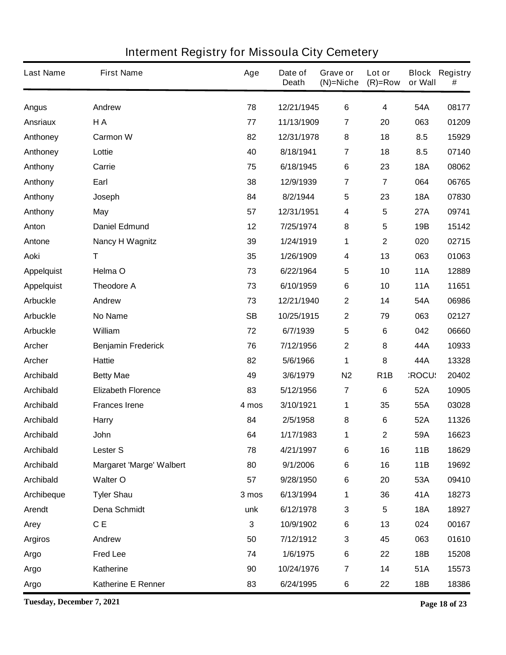| <b>Last Name</b>  | <b>First Name</b>               | Age                     | Date of<br><b>Death</b> | Grave or<br>$(N)$ =Niche | Lot or<br>$(R)=Row$ | or Wall      | <b>Block Registry</b><br># |
|-------------------|---------------------------------|-------------------------|-------------------------|--------------------------|---------------------|--------------|----------------------------|
| <b>Angus</b>      | <b>Andrew</b>                   | 78                      | 12/21/1945              | 6                        | 4                   | 54A          | 08177                      |
| <b>Ansriaux</b>   | H A                             | 77                      | 11/13/1909              | $\overline{\mathbf{7}}$  | 20                  | 063          | 01209                      |
| Anthoney          | <b>Carmon W</b>                 | 82                      | 12/31/1978              | 8                        | 18                  | 8.5          | 15929                      |
| Anthoney          | Lottie                          | 40                      | 8/18/1941               | $\overline{\mathbf{7}}$  | 18                  | 8.5          | 07140                      |
| Anthony           | Carrie                          | 75                      | 6/18/1945               | 6                        | 23                  | <b>18A</b>   | 08062                      |
| Anthony           | Earl                            | 38                      | 12/9/1939               | 7                        | $\overline{7}$      | 064          | 06765                      |
| Anthony           | Joseph                          | 84                      | 8/2/1944                | 5                        | 23                  | <b>18A</b>   | 07830                      |
| Anthony           | May                             | 57                      | 12/31/1951              | 4                        | 5                   | 27A          | 09741                      |
| Anton             | <b>Daniel Edmund</b>            | 12                      | 7/25/1974               | 8                        | 5                   | 19B          | 15142                      |
| Antone            | <b>Nancy H Wagnitz</b>          | 39                      | 1/24/1919               | 1                        | $\mathbf{2}$        | 020          | 02715                      |
| <b>Aoki</b>       | T                               | 35                      | 1/26/1909               | 4                        | 13                  | 063          | 01063                      |
| <b>Appelquist</b> | Helma O                         | 73                      | 6/22/1964               | 5                        | 10                  | <b>11A</b>   | 12889                      |
| <b>Appelquist</b> | <b>Theodore A</b>               | 73                      | 6/10/1959               | 6                        | 10                  | <b>11A</b>   | 11651                      |
| <b>Arbuckle</b>   | Andrew                          | 73                      | 12/21/1940              | 2                        | 14                  | 54A          | 06986                      |
| <b>Arbuckle</b>   | <b>No Name</b>                  | <b>SB</b>               | 10/25/1915              | 2                        | 79                  | 063          | 02127                      |
| <b>Arbuckle</b>   | William                         | 72                      | 6/7/1939                | 5                        | 6                   | 042          | 06660                      |
| Archer            | <b>Benjamin Frederick</b>       | 76                      | 7/12/1956               | 2                        | 8                   | 44A          | 10933                      |
| <b>Archer</b>     | <b>Hattie</b>                   | 82                      | 5/6/1966                | 1                        | 8                   | 44A          | 13328                      |
| <b>Archibald</b>  | <b>Betty Mae</b>                | 49                      | 3/6/1979                | N <sub>2</sub>           | R <sub>1</sub> B    | <b>ROCU:</b> | 20402                      |
| <b>Archibald</b>  | <b>Elizabeth Florence</b>       | 83                      | 5/12/1956               | $\overline{\mathbf{7}}$  | 6                   | 52A          | 10905                      |
| <b>Archibald</b>  | <b>Frances Irene</b>            | 4 mos                   | 3/10/1921               | 1                        | 35                  | 55A          | 03028                      |
| <b>Archibald</b>  | Harry                           | 84                      | 2/5/1958                | 8                        | 6                   | 52A          | 11326                      |
| <b>Archibald</b>  | John                            | 64                      | 1/17/1983               | 1                        | $\mathbf 2$         | 59A          | 16623                      |
| <b>Archibald</b>  | <b>Lester S</b>                 | 78                      | 4/21/1997               | 6                        | 16                  | 11B          | 18629                      |
| <b>Archibald</b>  | <b>Margaret 'Marge' Walbert</b> | 80                      | 9/1/2006                | 6                        | 16                  | 11B          | 19692                      |
| <b>Archibald</b>  | <b>Walter O</b>                 | 57                      | 9/28/1950               | 6                        | 20                  | 53A          | 09410                      |
| Archibeque        | <b>Tyler Shau</b>               | 3 mos                   | 6/13/1994               | 1                        | 36                  | 41A          | 18273                      |
| <b>Arendt</b>     | <b>Dena Schmidt</b>             | unk                     | 6/12/1978               | 3                        | 5                   | <b>18A</b>   | 18927                      |
| Arey              | C E                             | $\overline{\mathbf{3}}$ | 10/9/1902               | 6                        | 13                  | 024          | 00167                      |
| <b>Argiros</b>    | Andrew                          | 50                      | 7/12/1912               | 3                        | 45                  | 063          | 01610                      |
| <b>Argo</b>       | <b>Fred Lee</b>                 | 74                      | 1/6/1975                | 6                        | 22                  | 18B          | 15208                      |
| Argo              | Katherine                       | 90                      | 10/24/1976              | $\overline{\mathbf{7}}$  | 14                  | 51A          | 15573                      |
| Argo              | <b>Katherine E Renner</b>       | 83                      | 6/24/1995               | 6                        | 22                  | 18B          | 18386                      |

**Tuesday, December 7, 2021 Page 18 of 23**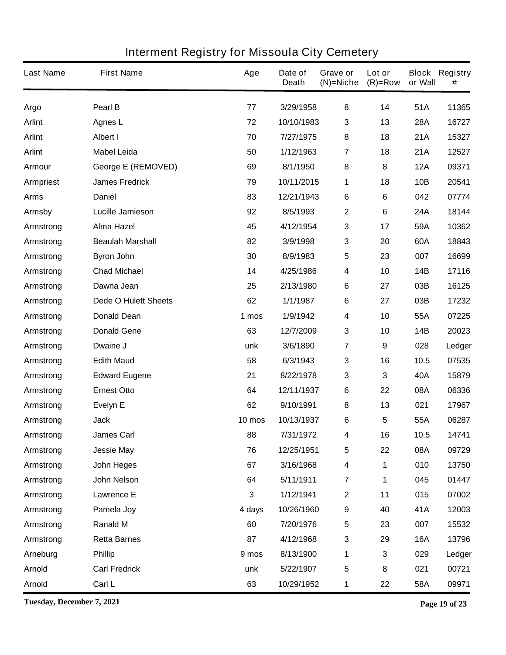| <b>Last Name</b> | <b>First Name</b>           | Age    | Date of<br><b>Death</b> | Grave or<br>$(N)$ =Niche | Lot or<br>$(R)=Row$ | or Wall    | <b>Block Registry</b><br># |
|------------------|-----------------------------|--------|-------------------------|--------------------------|---------------------|------------|----------------------------|
| Argo             | Pearl B                     | 77     | 3/29/1958               | 8                        | 14                  | 51A        | 11365                      |
| <b>Arlint</b>    | <b>Agnes L</b>              | 72     | 10/10/1983              | 3                        | 13                  | <b>28A</b> | 16727                      |
| <b>Arlint</b>    | <b>Albert I</b>             | 70     | 7/27/1975               | 8                        | 18                  | 21A        | 15327                      |
| <b>Arlint</b>    | <b>Mabel Leida</b>          | 50     | 1/12/1963               | 7                        | 18                  | 21A        | 12527                      |
| Armour           | <b>George E (REMOVED)</b>   | 69     | 8/1/1950                | 8                        | 8                   | <b>12A</b> | 09371                      |
| <b>Armpriest</b> | <b>James Fredrick</b>       | 79     | 10/11/2015              | 1                        | 18                  | 10B        | 20541                      |
| <b>Arms</b>      | <b>Daniel</b>               | 83     | 12/21/1943              | 6                        | 6                   | 042        | 07774                      |
| <b>Armsby</b>    | <b>Lucille Jamieson</b>     | 92     | 8/5/1993                | $\mathbf 2$              | 6                   | 24A        | 18144                      |
| Armstrong        | <b>Alma Hazel</b>           | 45     | 4/12/1954               | 3                        | 17                  | 59A        | 10362                      |
| Armstrong        | <b>Beaulah Marshall</b>     | 82     | 3/9/1998                | 3                        | 20                  | 60A        | 18843                      |
| Armstrong        | <b>Byron John</b>           | 30     | 8/9/1983                | 5                        | 23                  | 007        | 16699                      |
| Armstrong        | <b>Chad Michael</b>         | 14     | 4/25/1986               | 4                        | 10                  | 14B        | 17116                      |
| Armstrong        | Dawna Jean                  | 25     | 2/13/1980               | 6                        | 27                  | 03B        | 16125                      |
| Armstrong        | <b>Dede O Hulett Sheets</b> | 62     | 1/1/1987                | 6                        | 27                  | 03B        | 17232                      |
| Armstrong        | <b>Donald Dean</b>          | 1 mos  | 1/9/1942                | 4                        | 10                  | 55A        | 07225                      |
| Armstrong        | <b>Donald Gene</b>          | 63     | 12/7/2009               | 3                        | 10                  | 14B        | 20023                      |
| Armstrong        | Dwaine J                    | unk    | 3/6/1890                | 7                        | 9                   | 028        | Ledger                     |
| Armstrong        | <b>Edith Maud</b>           | 58     | 6/3/1943                | 3                        | 16                  | 10.5       | 07535                      |
| Armstrong        | <b>Edward Eugene</b>        | 21     | 8/22/1978               | 3                        | 3                   | 40A        | 15879                      |
| Armstrong        | <b>Ernest Otto</b>          | 64     | 12/11/1937              | 6                        | 22                  | 08A        | 06336                      |
| Armstrong        | Evelyn E                    | 62     | 9/10/1991               | 8                        | 13                  | 021        | 17967                      |
| Armstrong        | <b>Jack</b>                 | 10 mos | 10/13/1937              | 6                        | 5                   | 55A        | 06287                      |
| Armstrong        | <b>James Carl</b>           | 88     | 7/31/1972               | 4                        | 16                  | 10.5       | 14741                      |
| Armstrong        | <b>Jessie May</b>           | 76     | 12/25/1951              | 5                        | 22                  | 08A        | 09729                      |
| Armstrong        | John Heges                  | 67     | 3/16/1968               | 4                        | 1                   | 010        | 13750                      |
| Armstrong        | <b>John Nelson</b>          | 64     | 5/11/1911               | $\overline{\mathbf{7}}$  | 1                   | 045        | 01447                      |
| Armstrong        | <b>Lawrence E</b>           | 3      | 1/12/1941               | $\mathbf 2$              | 11                  | 015        | 07002                      |
| Armstrong        | Pamela Joy                  | 4 days | 10/26/1960              | 9                        | 40                  | 41A        | 12003                      |
| Armstrong        | <b>Ranald M</b>             | 60     | 7/20/1976               | 5                        | 23                  | 007        | 15532                      |
| Armstrong        | <b>Retta Barnes</b>         | 87     | 4/12/1968               | 3                        | 29                  | <b>16A</b> | 13796                      |
| Arneburg         | <b>Phillip</b>              | 9 mos  | 8/13/1900               | 1                        | 3                   | 029        | Ledger                     |
| <b>Arnold</b>    | <b>Carl Fredrick</b>        | unk    | 5/22/1907               | $\overline{\mathbf{5}}$  | 8                   | 021        | 00721                      |
| <b>Arnold</b>    | Carl L                      | 63     | 10/29/1952              | 1                        | 22                  | 58A        | 09971                      |

**Tuesday, December 7, 2021 Page 19 of 23**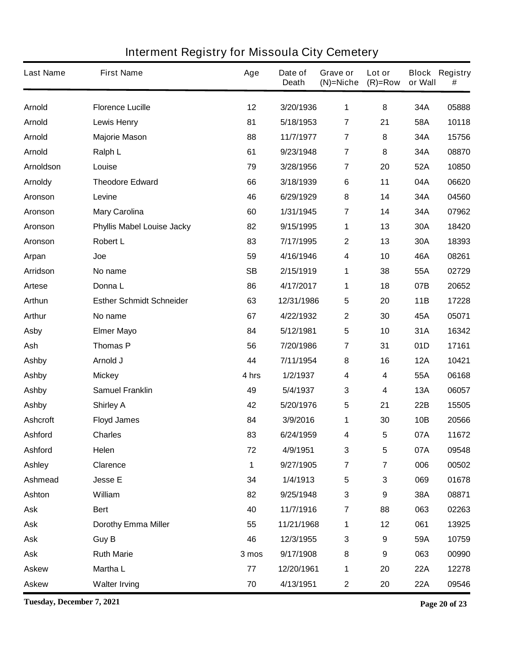| <b>Last Name</b> | <b>First Name</b>                 | Age       | Date of<br><b>Death</b> | Grave or<br>$(N)$ =Niche | Lot or<br>$(R)=Row$     | or Wall    | <b>Block Registry</b><br># |
|------------------|-----------------------------------|-----------|-------------------------|--------------------------|-------------------------|------------|----------------------------|
| <b>Arnold</b>    | <b>Florence Lucille</b>           | 12        | 3/20/1936               | 1                        | 8                       | 34A        | 05888                      |
| <b>Arnold</b>    | <b>Lewis Henry</b>                | 81        | 5/18/1953               | $\overline{\mathbf{7}}$  | 21                      | 58A        | 10118                      |
| <b>Arnold</b>    | <b>Majorie Mason</b>              | 88        | 11/7/1977               | $\overline{7}$           | 8                       | 34A        | 15756                      |
| <b>Arnold</b>    | Ralph L                           | 61        | 9/23/1948               | $\overline{7}$           | 8                       | 34A        | 08870                      |
| <b>Arnoldson</b> | Louise                            | 79        | 3/28/1956               | $\overline{7}$           | 20                      | 52A        | 10850                      |
| <b>Arnoldy</b>   | <b>Theodore Edward</b>            | 66        | 3/18/1939               | 6                        | 11                      | 04A        | 06620                      |
| Aronson          | Levine                            | 46        | 6/29/1929               | 8                        | 14                      | 34A        | 04560                      |
| Aronson          | <b>Mary Carolina</b>              | 60        | 1/31/1945               | $\overline{7}$           | 14                      | 34A        | 07962                      |
| Aronson          | <b>Phyllis Mabel Louise Jacky</b> | 82        | 9/15/1995               | 1                        | 13                      | 30A        | 18420                      |
| Aronson          | <b>Robert L</b>                   | 83        | 7/17/1995               | $\mathbf 2$              | 13                      | 30A        | 18393                      |
| Arpan            | Joe                               | 59        | 4/16/1946               | 4                        | 10                      | 46A        | 08261                      |
| <b>Arridson</b>  | No name                           | <b>SB</b> | 2/15/1919               | 1                        | 38                      | 55A        | 02729                      |
| Artese           | Donna L                           | 86        | 4/17/2017               | 1                        | 18                      | 07B        | 20652                      |
| Arthun           | <b>Esther Schmidt Schneider</b>   | 63        | 12/31/1986              | 5                        | 20                      | <b>11B</b> | 17228                      |
| <b>Arthur</b>    | No name                           | 67        | 4/22/1932               | $\mathbf 2$              | 30                      | 45A        | 05071                      |
| <b>Asby</b>      | <b>Elmer Mayo</b>                 | 84        | 5/12/1981               | 5                        | 10                      | 31A        | 16342                      |
| Ash              | <b>Thomas P</b>                   | 56        | 7/20/1986               | 7                        | 31                      | 01D        | 17161                      |
| <b>Ashby</b>     | Arnold J                          | 44        | 7/11/1954               | 8                        | 16                      | <b>12A</b> | 10421                      |
| <b>Ashby</b>     | <b>Mickey</b>                     | 4 hrs     | 1/2/1937                | 4                        | 4                       | 55A        | 06168                      |
| <b>Ashby</b>     | <b>Samuel Franklin</b>            | 49        | 5/4/1937                | 3                        | 4                       | 13A        | 06057                      |
| <b>Ashby</b>     | <b>Shirley A</b>                  | 42        | 5/20/1976               | 5                        | 21                      | 22B        | 15505                      |
| <b>Ashcroft</b>  | <b>Floyd James</b>                | 84        | 3/9/2016                | 1                        | 30                      | 10B        | 20566                      |
| Ashford          | <b>Charles</b>                    | 83        | 6/24/1959               | 4                        | 5                       | 07A        | 11672                      |
| <b>Ashford</b>   | Helen                             | 72        | 4/9/1951                | $\mathbf 3$              | 5                       | 07A        | 09548                      |
| <b>Ashley</b>    | <b>Clarence</b>                   | 1         | 9/27/1905               | $\overline{\mathbf{7}}$  | $\overline{\mathbf{7}}$ | 006        | 00502                      |
| <b>Ashmead</b>   | <b>Jesse E</b>                    | 34        | 1/4/1913                | 5                        | 3                       | 069        | 01678                      |
| Ashton           | William                           | 82        | 9/25/1948               | 3                        | 9                       | 38A        | 08871                      |
| <b>Ask</b>       | <b>Bert</b>                       | 40        | 11/7/1916               | $\overline{\mathbf{7}}$  | 88                      | 063        | 02263                      |
| <b>Ask</b>       | <b>Dorothy Emma Miller</b>        | 55        | 11/21/1968              | 1                        | 12                      | 061        | 13925                      |
| <b>Ask</b>       | <b>Guy B</b>                      | 46        | 12/3/1955               | 3                        | 9                       | 59A        | 10759                      |
| <b>Ask</b>       | <b>Ruth Marie</b>                 | 3 mos     | 9/17/1908               | 8                        | 9                       | 063        | 00990                      |
| <b>Askew</b>     | <b>Martha L</b>                   | 77        | 12/20/1961              | 1                        | 20                      | 22A        | 12278                      |
| <b>Askew</b>     | <b>Walter Irving</b>              | 70        | 4/13/1951               | $\mathbf 2$              | 20                      | 22A        | 09546                      |

**Tuesday, December 7, 2021 Page 20 of 23**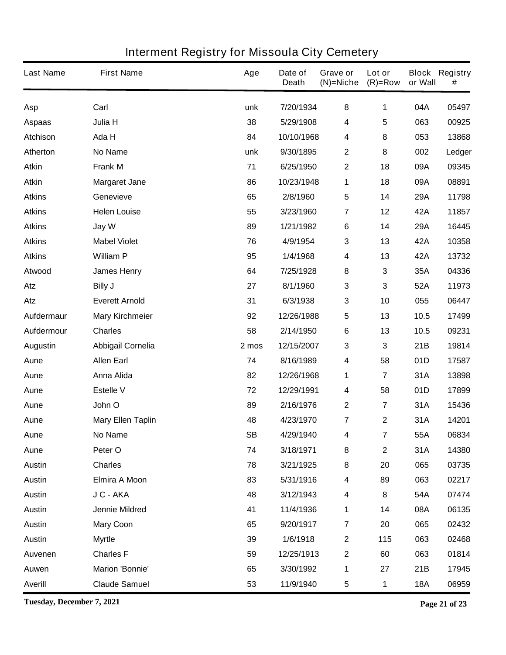| <b>Last Name</b> | <b>First Name</b>        | Age       | Date of<br><b>Death</b> | Grave or<br>$(N)$ =Niche | Lot or<br>$(R)=Row$     | or Wall    | <b>Block Registry</b><br># |
|------------------|--------------------------|-----------|-------------------------|--------------------------|-------------------------|------------|----------------------------|
| Asp              | Carl                     | unk       | 7/20/1934               | 8                        | 1                       | 04A        | 05497                      |
| <b>Aspaas</b>    | Julia H                  | 38        | 5/29/1908               | 4                        | 5                       | 063        | 00925                      |
| <b>Atchison</b>  | Ada H                    | 84        | 10/10/1968              | 4                        | 8                       | 053        | 13868                      |
| Atherton         | <b>No Name</b>           | unk       | 9/30/1895               | $\mathbf 2$              | 8                       | 002        | Ledger                     |
| <b>Atkin</b>     | <b>Frank M</b>           | 71        | 6/25/1950               | $\mathbf 2$              | 18                      | 09A        | 09345                      |
| <b>Atkin</b>     | <b>Margaret Jane</b>     | 86        | 10/23/1948              | 1                        | 18                      | 09A        | 08891                      |
| <b>Atkins</b>    | Genevieve                | 65        | 2/8/1960                | $5\phantom{.0}$          | 14                      | 29A        | 11798                      |
| <b>Atkins</b>    | <b>Helen Louise</b>      | 55        | 3/23/1960               | $\overline{\mathbf{7}}$  | 12                      | 42A        | 11857                      |
| <b>Atkins</b>    | Jay W                    | 89        | 1/21/1982               | 6                        | 14                      | 29A        | 16445                      |
| <b>Atkins</b>    | <b>Mabel Violet</b>      | 76        | 4/9/1954                | 3                        | 13                      | 42A        | 10358                      |
| <b>Atkins</b>    | <b>William P</b>         | 95        | 1/4/1968                | 4                        | 13                      | 42A        | 13732                      |
| Atwood           | <b>James Henry</b>       | 64        | 7/25/1928               | 8                        | 3                       | 35A        | 04336                      |
| Atz              | <b>Billy J</b>           | 27        | 8/1/1960                | 3                        | 3                       | 52A        | 11973                      |
| Atz              | <b>Everett Arnold</b>    | 31        | 6/3/1938                | 3                        | 10                      | 055        | 06447                      |
| Aufdermaur       | <b>Mary Kirchmeier</b>   | 92        | 12/26/1988              | 5                        | 13                      | 10.5       | 17499                      |
| Aufdermour       | <b>Charles</b>           | 58        | 2/14/1950               | 6                        | 13                      | 10.5       | 09231                      |
| <b>Augustin</b>  | <b>Abbigail Cornelia</b> | 2 mos     | 12/15/2007              | 3                        | 3                       | 21B        | 19814                      |
| Aune             | <b>Allen Earl</b>        | 74        | 8/16/1989               | 4                        | 58                      | 01D        | 17587                      |
| Aune             | <b>Anna Alida</b>        | 82        | 12/26/1968              | 1                        | $\overline{\mathbf{7}}$ | 31A        | 13898                      |
| Aune             | <b>Estelle V</b>         | 72        | 12/29/1991              | 4                        | 58                      | 01D        | 17899                      |
| Aune             | John O                   | 89        | 2/16/1976               | $\mathbf 2$              | 7                       | 31A        | 15436                      |
| Aune             | <b>Mary Ellen Taplin</b> | 48        | 4/23/1970               | 7                        | $\mathbf 2$             | 31A        | 14201                      |
| Aune             | No Name                  | <b>SB</b> | 4/29/1940               | 4                        | 7                       | 55A        | 06834                      |
| Aune             | Peter O                  | 74        | 3/18/1971               | 8                        | $\mathbf 2$             | 31A        | 14380                      |
| <b>Austin</b>    | <b>Charles</b>           | 78        | 3/21/1925               | ${\bf 8}$                | 20                      | 065        | 03735                      |
| <b>Austin</b>    | <b>Elmira A Moon</b>     | 83        | 5/31/1916               | 4                        | 89                      | 063        | 02217                      |
| <b>Austin</b>    | J C - AKA                | 48        | 3/12/1943               | 4                        | 8                       | 54A        | 07474                      |
| <b>Austin</b>    | <b>Jennie Mildred</b>    | 41        | 11/4/1936               | 1                        | 14                      | 08A        | 06135                      |
| <b>Austin</b>    | <b>Mary Coon</b>         | 65        | 9/20/1917               | $\overline{\mathbf{r}}$  | 20                      | 065        | 02432                      |
| <b>Austin</b>    | <b>Myrtle</b>            | 39        | 1/6/1918                | $\mathbf{2}$             | 115                     | 063        | 02468                      |
| <b>Auvenen</b>   | <b>Charles F</b>         | 59        | 12/25/1913              | $\boldsymbol{2}$         | 60                      | 063        | 01814                      |
| Auwen            | <b>Marion 'Bonnie'</b>   | 65        | 3/30/1992               | 1                        | 27                      | 21B        | 17945                      |
| <b>Averill</b>   | <b>Claude Samuel</b>     | 53        | 11/9/1940               | 5                        | 1                       | <b>18A</b> | 06959                      |

**Tuesday, December 7, 2021 Page 21 of 23**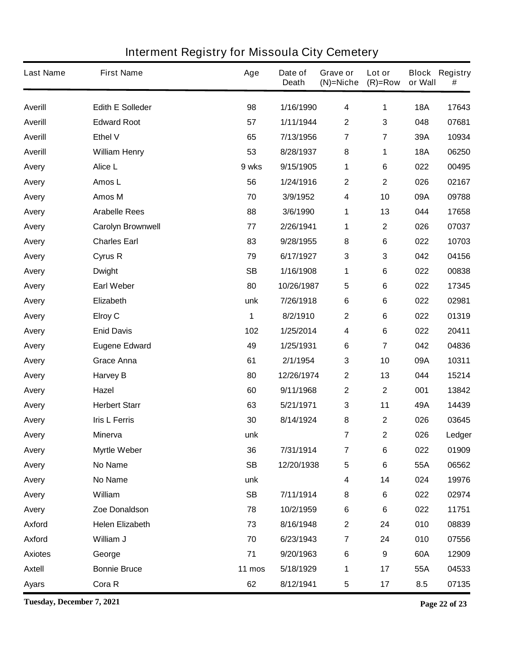| <b>Last Name</b> | <b>First Name</b>        | Age       | Date of<br><b>Death</b> | Grave or<br>(N)=Niche   | Lot or<br>$(R)=Row$ | or Wall    | <b>Block Registry</b><br># |
|------------------|--------------------------|-----------|-------------------------|-------------------------|---------------------|------------|----------------------------|
| <b>Averill</b>   | <b>Edith E Solleder</b>  | 98        | 1/16/1990               | 4                       | 1                   | <b>18A</b> | 17643                      |
| <b>Averill</b>   | <b>Edward Root</b>       | 57        | 1/11/1944               | $\mathbf 2$             | 3                   | 048        | 07681                      |
| <b>Averill</b>   | <b>Ethel V</b>           | 65        | 7/13/1956               | $\overline{7}$          | $\overline{7}$      | 39A        | 10934                      |
| <b>Averill</b>   | <b>William Henry</b>     | 53        | 8/28/1937               | $\bf 8$                 | 1                   | <b>18A</b> | 06250                      |
| Avery            | Alice L                  | 9 wks     | 9/15/1905               | 1                       | 6                   | 022        | 00495                      |
| Avery            | Amos L                   | 56        | 1/24/1916               | $\mathbf 2$             | $\mathbf 2$         | 026        | 02167                      |
| Avery            | Amos M                   | 70        | 3/9/1952                | 4                       | 10                  | 09A        | 09788                      |
| Avery            | <b>Arabelle Rees</b>     | 88        | 3/6/1990                | 1                       | 13                  | 044        | 17658                      |
| Avery            | <b>Carolyn Brownwell</b> | 77        | 2/26/1941               | 1                       | $\mathbf 2$         | 026        | 07037                      |
| Avery            | <b>Charles Earl</b>      | 83        | 9/28/1955               | 8                       | 6                   | 022        | 10703                      |
| Avery            | Cyrus R                  | 79        | 6/17/1927               | 3                       | 3                   | 042        | 04156                      |
| Avery            | <b>Dwight</b>            | <b>SB</b> | 1/16/1908               | 1                       | 6                   | 022        | 00838                      |
| Avery            | <b>Earl Weber</b>        | 80        | 10/26/1987              | 5                       | 6                   | 022        | 17345                      |
| Avery            | <b>Elizabeth</b>         | unk       | 7/26/1918               | 6                       | 6                   | 022        | 02981                      |
| Avery            | <b>Elroy C</b>           | 1         | 8/2/1910                | $\mathbf 2$             | 6                   | 022        | 01319                      |
| Avery            | <b>Enid Davis</b>        | 102       | 1/25/2014               | 4                       | 6                   | 022        | 20411                      |
| Avery            | <b>Eugene Edward</b>     | 49        | 1/25/1931               | 6                       | 7                   | 042        | 04836                      |
| Avery            | <b>Grace Anna</b>        | 61        | 2/1/1954                | 3                       | 10                  | 09A        | 10311                      |
| Avery            | <b>Harvey B</b>          | 80        | 12/26/1974              | $\mathbf 2$             | 13                  | 044        | 15214                      |
| Avery            | Hazel                    | 60        | 9/11/1968               | 2                       | $\mathbf 2$         | 001        | 13842                      |
| Avery            | <b>Herbert Starr</b>     | 63        | 5/21/1971               | 3                       | 11                  | 49A        | 14439                      |
| Avery            | <b>Iris L Ferris</b>     | 30        | 8/14/1924               | 8                       | $\mathbf 2$         | 026        | 03645                      |
| <b>Avery</b>     | <b>Minerva</b>           | unk       |                         | 7                       | $\mathbf 2$         | 026        | Ledger                     |
| Avery            | <b>Myrtle Weber</b>      | 36        | 7/31/1914               | 7                       | 6                   | 022        | 01909                      |
| Avery            | No Name                  | <b>SB</b> | 12/20/1938              | 5                       | 6                   | 55A        | 06562                      |
| Avery            | No Name                  | unk       |                         | 4                       | 14                  | 024        | 19976                      |
| Avery            | William                  | <b>SB</b> | 7/11/1914               | 8                       | $\bf 6$             | 022        | 02974                      |
| Avery            | Zoe Donaldson            | 78        | 10/2/1959               | 6                       | 6                   | 022        | 11751                      |
| <b>Axford</b>    | <b>Helen Elizabeth</b>   | 73        | 8/16/1948               | $\mathbf 2$             | 24                  | 010        | 08839                      |
| <b>Axford</b>    | William J                | 70        | 6/23/1943               | $\overline{\mathbf{7}}$ | 24                  | 010        | 07556                      |
| <b>Axiotes</b>   | George                   | 71        | 9/20/1963               | 6                       | 9                   | 60A        | 12909                      |
| <b>Axtell</b>    | <b>Bonnie Bruce</b>      | 11 mos    | 5/18/1929               | 1                       | 17                  | 55A        | 04533                      |
| <b>Ayars</b>     | Cora R                   | 62        | 8/12/1941               | 5                       | 17                  | 8.5        | 07135                      |

**Tuesday, December 7, 2021 Page 22 of 23**